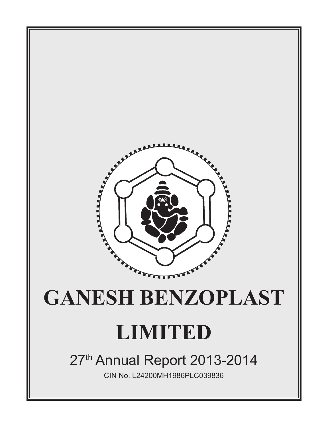

# **GANESH BENZOPLAST LIMITED**

# 27<sup>th</sup> Annual Report 2013-2014

CIN No. L24200MH1986PLC039836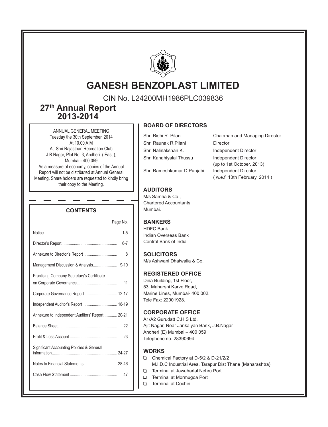

# **GANESH BENZOPLAST LIMITED**

CIN No. L24200MH1986PLC039836

### **27th Annual Report 2013-2014**

Ganesh Benzoplast Limited

ANNUAL GENERAL MEETING Tuesday the 30th September, 2014 At 10.00 A.M At Shri Rajasthan Recreation Club J.B.Nagar, Plot No. 3, Andheri ( East ), Mumbai - 400 059 As a measure of economy, copies of the Annual Report will not be distributed at Annual General Meeting. Share holders are requested to kindly bring their copy to the Meeting.

### **CONTENTS**

|                                                      | Page No. |
|------------------------------------------------------|----------|
|                                                      | $1 - 5$  |
|                                                      | $6 - 7$  |
| Annexure to Director's Report                        | 8        |
|                                                      |          |
| Practising Company Secretary's Certificate           | 11       |
| Corporate Governance Report  12-17                   |          |
|                                                      |          |
| Annexure to Independent Auditors' Report 20-21       |          |
|                                                      | 22       |
|                                                      | 23       |
| <b>Significant Accounting Policies &amp; General</b> |          |
|                                                      |          |
|                                                      | 47       |
|                                                      |          |

### **BOARD OF DIRECTORS**

Shri Rishi R. Pilani Chairman and Managing Director Shri Raunak R.Pilani Director Shri Nalinakshan K. **Independent Director** Shri Kanahiyalal Thussu Independent Director

Shri Rameshkumar D.Punjabi Independent Director

### **AUDITORS**

M/s Samria & Co., Chartered Accountants, Mumbai.

### **BANKERS**

HDFC Bank Indian Overseas Bank Central Bank of India

**SOLICITORS** M/s Ashwani Dhatwalia & Co.

### **REGISTERED OFFICE**

Dina Building, 1st Floor, 53, Maharshi Karve Road, Marine Lines, Mumbai- 400 002. Tele Fax: 22001928.

### **CORPORATE OFFICE**

A1/A2 Gurudatt C.H.S Ltd, Ajit Nagar, Near Jankalyan Bank, J.B.Nagar Andheri (E) Mumbai – 400 059 Telephone no. 28390694

### **WORKS**

2

- Chemical Factory at D-5/2 & D-21/2/2 M.I.D.C Industrial Area, Tarapur Dist Thane (Maharashtra) Terminal at Jawaharlal Nehru Port
- **Terminal at Mormugoa Port**
- **Terminal at Cochin**

(up to 1st October, 2013) ( w.e.f 13th February, 2014 )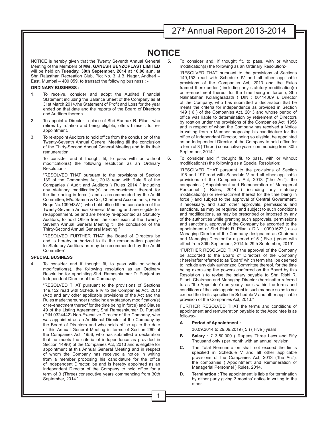### 27th Annual Report 2013-2014

### **NOTICE**

NOTICE is hereby given that the Twenty Seventh Annual General Meeting of the Members of **M/s. GANESH BENZOPLAST LIMITED**  will be held on **Tuesday, 30th September, 2014 at 10.00 a.m.** at Shri Rajasthan Recreation Club, Plot No. 3, J.B. Nagar, Andheri – East, Mumbai – 400 059, to transact the following business : -

#### **ORDINARY BUSINESS : -**

- 1. To receive, consider and adopt the Audited Financial Statement including the Balance Sheet of the Company as at 31st March 2014,the Statement of Profit and Loss for the year ended on that date and the reports of the Board of Directors and Auditors thereon.
- 2. To appoint a Director in place of Shri Raunak R. Pilani, who retires by rotation and being eligible, offers himself, for reappointment.
- 3. To re-appoint Auditors to hold office from the conclusion of the Twenty-Seventh Annual General Meeting till the conclusion of the Thirty-Second Annual General Meeting and to fix their remuneration.

To consider and if thought fit, to pass with or without modification(s) the following resolution as an Ordinary Resolution:-

"RESOLVED THAT pursuant to the provisions of Section 139 of the Companies Act, 2013 read with Rule 6 of the Companies ( Audit and Auditors ) Rules 2014 ( including any statutory modification(s) or re-enactment thereof for the time being in force ) and as recommended by the Audit Committee, M/s. Samria & Co., Chartered Accountants, ( Firm Regn.No.109043W ), who hold office till the conclusion of the Twenty-Seventh Annual General Meeting and are eligible for re-appointment, be and are hereby re-appointed as Statutory Auditors, to hold Office from the conclusion of the Twenty-Seventh Annual General Meeting till the conclusion of the Thirty-Second Annual General Meeting."

"RESOLVED FURTHER THAT the Board of Directors be and is hereby authorized to fix the remuneration payable to Statutory Auditors as may be recommended by the Audit **Committee** 

### **SPECIAL BUSINESS**

4. To consider and if thought fit, to pass with or without modification(s), the following resolution as an Ordinary Resolution for appointing Shri. Rameshkumar D. Punjabi as Independent Director of the Company:-

"RESOLVED THAT pursuant to the provisions of Sections 149,152 read with Schedule IV to the Companies Act, 2013 (Act) and any other applicable provisions of the Act and the Rules made thereunder (including any statutory modification(s) or re-enactment thereof for the time being in force) and Clause 49 of the Listing Agreement, Shri Rameshkumar D. Punjabi (DIN 0324442) Non-Executive Director of the Company, who was appointed as an Additional Director of the Company by the Board of Directors and who holds office up to the date of this Annual General Meeting in terms of Section 260 of the Companies Act, 1956, who has submitted a declaration that he meets the criteria of independence as provided in Section 149(6) of the Companies Act, 2013 and is eligible for appointment at this Annual General Meeting and in respect of whom the Company has received a notice in writing from a member proposing his candidature for the office of Independent Director, be and is hereby appointed as an Independent Director of the Company to hold office for a term of 3 (Three) consecutive years commencing from 30th September, 2014."

5. To consider and, if thought fit, to pass, with or without modification(s) the following as an Ordinary Resolution:-

"RESOLVED THAT pursuant to the provisions of Sections 149,152 read with Schedule IV and all other applicable provisions of the Companies Act, 2013 and the Rules framed there under ( including any statutory modification(s) or re-enactment thereof for the time being in force ), Shri Nalinakshan Kolangaradath ( DIN : 00114069 ), Director of the Company, who has submitted a declaration that he meets the criteria for independence as provided in Section 149 ( 6 ) of the Companies Act, 2013 and whose period of office was liable to determination by retirement of Directors by rotation under the provisions of the Companies Act, 1956 and in respect of whom the Company has received a Notice in writing from a Member proposing his candidature for the office of Independent Director, being so eligible, be appointed as an Independent Director of the Company to hold office for a term of 3 ( Three ) consecutive years commencing from 30th September, 2014.

6. To consider and if thought fit, to pass, with or without modification(s) the following as a Special Resolution:

"RESOLVED THAT pursuant to the provisions of Section 196 and 197 read with Schedule V and all other applicable provisions of the Companies Act, 2013 ("the Act"), the companies ( Appointment and Remuneration of Managerial Personnel ) Rules, 2014 ( including any statutory modification(s) or re-enactment thereof for the time being in force ) and subject to the approval of Central Government, if necessary, and such other approvals, permissions and sanctions, as may be required and subject to such conditions and modifications, as may be prescribed or imposed by any of the authorities while granting such approvals, permissions and sanctions, approval of the Company be accorded to the appointment of Shri Rishi R. Pilani ( DIN : 00901627 ) as a Managing Director of the Company designated as Chairman and Managing Director for a period of 5 ( Five ) years with effect from 30th September, 2014 to 29th September, 2019"

"FURTHER RESOLVED THAT the approval of the Company be accorded to the Board of Directors of the Company ( hereinafter referred to as 'Board' which term shall be deemed to include any duly authorized Committee thereof, for the time being exercising the powers conferred on the Board by this Resolution ) to revise the salary payable to Shri Rishi R. Pilani, Chairman and Managing Director (hereinafter referred to as "the Appointee") on yearly basis within the terms and conditions of the said appointment in such manner so as to not exceed the limits specified in Schedule V and other applicable provision of the Companies Act, 2013."

FURTHER RESOLVED THAT the terms and conditions of appointment and remuneration payable to the Appointee is as follows:-

#### **A Period of Appointment :**

30.09.2014 to 29.09.2019 ( 5 ) ( Five ) years

- **B Salary** : ₹ 3,50,000 ( Rupees Three Lacs and Fifty Thousand only ) per month with an annual revision.
- **C.** The Total Remuneration shall not exceed the limits specified in Schedule V and all other applicable provisions of the Companies Act, 2013 ("the Act"), the companies ( Appointment and Remuneration of Managerial Personnel ) Rules, 2014.
- **D. Termination**: The appointment is liable for termination by either party giving 3 months' notice in writing to the other.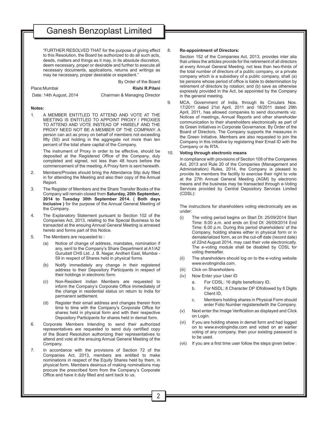### Ganesh Benzoplast Limited

"FURTHER RESOLVED THAT for the purpose of giving effect to this Resolution, the Board be authorized to do all such acts, deeds, matters and things as it may, in its absolute discretion, deem necessary, proper or desirable and further to execute all necessary documents, applications, returns and writings as may be necessary, proper desirable or expedient."

 By Order of the Board Place:Mumbai **Rishi R.Pilani** 

Date: 14th August, 2014 Chairman & Managing Director

#### **Notes:**

1. A MEMBER ENTITLED TO ATTEND AND VOTE AT THE MEETING IS ENTITLED TO APPOINT PROXY / PROXIES TO ATTEND AND VOTE INSTEAD OF HIMSELF AND THE PROXY NEED NOT BE A MEMBER OF THE COMPANY. A person can act as proxy on behalf of members not exceeding fifty (50) and holding in the aggregate not more than ten percent of the total share capital of the Company.

The instrument of Proxy in order to be effective, should be deposited at the Registered Office of the Company, duly completed and signed, not less than 48 hours before the commencement of the meeting. A Proxy form is sent herewith.

- 2. Members/Proxies should bring the Attendance Slip duly filled in for attending the Meeting and also their copy of the Annual Report.
- 3. The Register of Members and the Share Transfer Books of the Company will remain closed from **Saturday, 20th September, 2014 to Tuesday 30th September 2014. ( Both days Inclusive )** for the purpose of the Annual General Meeting of the Company.
- 4. The Explanatory Statement pursuant to Section 102 of the Companies Act, 2013, relating to the Special Business to be transacted at the ensuing Annual General Meeting is annexed hereto and forms part of this Notice.
- 5. The Members are requested to :
	- (a) Notice of change of address, mandates, nomination if any, sent to the Company's Share Department at A1/A2 Gurudatt CHS Ltd. J. B. Nagar, Andheri East, Mumbai - 59 in respect of Shares held in physical forms
	- (b) Notify immediately any change in their registered address to their Depository Participants in respect of their holdings in electronic form.
	- (c) Non-Resident Indian Members are requested to inform the Company's Corporate Office immediately of the change in residential status on return to India for permanent settlement.
	- (d) Register their email address and changes therein from time to time with the Company's Corporate Office for shares held in physical form and with their respective Depository Participants for shares held in demat form.
- 6. Corporate Members intending to send their authorized representatives are requested to send duly certified copy of the Board Resolution authorizing their representatives to attend and vote at the ensuing Annual General Meeting of the Company.
- 7. In accordance with the provisions of Section 72 of the Companies Act, 2013, members are entitled to make nominations in respect of the Equity Shares held by them, in physical form. Members desirous of making nominations may procure the prescribed form from the Company's Corporate Office and have it duly filled and sent back to us.

### 8. **Re-appointment of Directors:**

Section 152 of the Companies Act, 2013, provides inter alia that unless the articles provide for the retirement of all directors at every Annual General Meeting, not less than two-thirds of the total number of directors of a public company, or a private company which is a subsidiary of a public company, shall (a) be persons whose period of office is liable to determination by retirement of directors by rotation; and (b) save as otherwise expressly provided in the Act, be appointed by the Company in the general meeting.

9. MCA, Government of India, through its Circulars Nos. 17/2011 dated 21st April, 2011 and 18/2011 dated 29th April, 2011, has allowed companies to send documents viz. Notices of meetings, Annual Reports and other shareholder communication to their shareholders electronically as part of its Green Initiatives in Corporate Governance. By Order of the Board of Directors, The Company supports the measures in the Green Initiative. Members are also requested to join the Company in this initiative by registering their Email ID with the Company or its RTA.

### 10. **Voting through electronic means**

In compliance with provisions of Section 108 of the Companies Act, 2013 and Rule 20 of the Companies (Management and Administration) Rules, 2014, the Company is pleased to provide its members the facility to exercise their right to vote at the 27th Annual General Meeting (AGM) by electronic means and the business may be transacted through e-Voting Services provided by Central Depository Services Limited (CDSL):

The instructions for shareholders voting electronically are as under:

- (i) The voting period begins on Start Dt: 25/09/2014 Start Time: 9.00 a.m. and ends on End Dt: 26/09/2014 End Time: 6.00 p.m. During this period shareholders' of the Company, holding shares either in physical form or in dematerialized form, as on the cut-off date (record date) of 22nd August 2014, may cast their vote electronically. The e-voting module shall be disabled by CDSL for voting thereafter.
- (ii) The shareholders should log on to the e-voting website www.evotingindia.com.
- (iii) Click on Shareholders.
- (iv) Now Enter your User ID
	- a. For CDSL: 16 digits beneficiary ID,
	- b. For NSDL: 8 Character DP IDfollowed by 8 Digits Client ID,
	- c. Members holding shares in Physical Form should enter Folio Number registeredwith the Company.
- (v) Next enter the Image Verification as displayed and Click on Login.
- (vi) If you are holding shares in demat form and had logged on to www.evotingindia.com and voted on an earlier voting of any company, then your existing password is to be used.
- (vii) If you are a first time user follow the steps given below :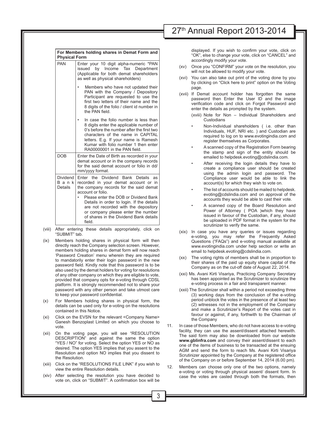| <b>PAN</b>                  | Enter your 10 digit alpha-numeric *PAN<br>by Income Tax<br>Department<br>issued<br>(Applicable for both demat shareholders<br>as well as physical shareholders)                                                                                                                                                                                                      |
|-----------------------------|----------------------------------------------------------------------------------------------------------------------------------------------------------------------------------------------------------------------------------------------------------------------------------------------------------------------------------------------------------------------|
|                             | Members who have not updated their<br>PAN with the Company / Depository<br>Participant are requested to use the<br>first two letters of their name and the<br>8 digits of the folio / client id number in<br>the PAN field.                                                                                                                                          |
|                             | In case the folio number is less than<br>8 digits enter the applicable number of<br>0's before the number after the first two<br>characters of the name in CAPITAL<br>letters. E.g. If your name is Ramesh<br>Kumar with folio number 1 then enter<br>RA00000001 in the PAN field.                                                                                   |
| <b>DOB</b>                  | Enter the Date of Birth as recorded in your<br>demat account or in the company records<br>for the said demat account or folio in dd/<br>mm/yyyy format.                                                                                                                                                                                                              |
| Dividend<br>Bank<br>Details | Enter the Dividend Bank Details<br>as<br>recorded in your demat account or in<br>the company records for the said demat<br>account or folio.<br>Please enter the DOB or Dividend Bank<br>Details in order to login. If the details<br>are not recorded with the depository<br>or company please enter the number<br>of shares in the Dividend Bank details<br>field. |

- (ix) Members holding shares in physical form will then directly reach the Company selection screen. However, members holding shares in demat form will now reach 'Password Creation' menu wherein they are required to mandatorily enter their login password in the new password field. Kindly note that this password is to be also used by the demat holders for voting for resolutions of any other company on which they are eligible to vote, provided that company opts for e-voting through CDSL platform. It is strongly recommended not to share your password with any other person and take utmost care to keep your password confidential.
- (x) For Members holding shares in physical form, the details can be used only for e-voting on the resolutions contained in this Notice.
- (xi) Click on the EVSN for the relevant <Company Name> Ganesh Benzoplast Limited on which you choose to vote.
- (xii) On the voting page, you will see "RESOLUTION DESCRIPTION" and against the same the option "YES / NO" for voting. Select the option YES or NO as desired. The option YES implies that you assent to the Resolution and option NO implies that you dissent to the Resolution.
- (xiii) Click on the "RESOLUTIONS FILE LINK" if you wish to view the entire Resolution details.
- (xiv) After selecting the resolution you have decided to vote on, click on "SUBMIT". A confirmation box will be

displayed. If you wish to confirm your vote, click on "OK", else to change your vote, click on "CANCEL" and accordingly modify your vote.

- (xv) Once you "CONFIRM" your vote on the resolution, you will not be allowed to modify your vote.
- (xvi) You can also take out print of the voting done by you by clicking on "Click here to print" option on the Voting page.
- (xvii) If Demat account holder has forgotten the same password then Enter the User ID and the image verification code and click on Forgot Password and enter the details as prompted by the system.
	- (xviii) Note for Non Individual Shareholders and Custodians
	- Non-Individual shareholders ( i.e. other than Individuals, HUF, NRI etc. ) and Custodian are required to log on to www.evotingindia.com and register themselves as Corporates.
	- A scanned copy of the Registration Form bearing the stamp and sign of the entity should be emailed to helpdesk.evoting@cdslindia.com.
	- After receiving the login details they have to create a compliance user should be created using the admin login and password. The Compliance user would be able to link the account(s) for which they wish to vote on.
	- The list of accounts should be mailed to helpdesk. evoting@cdslindia.com and on approval of the accounts they would be able to cast their vote.
	- A scanned copy of the Board Resolution and Power of Attorney ( POA )which they have issued in favour of the Custodian, if any, should be uploaded in PDF format in the system for the scrutinizer to verify the same.
- (xix) In case you have any queries or issues regarding e-voting, you may refer the Frequently Asked Questions ("FAQs") and e-voting manual available at www.evotingindia.com under help section or write an email to helpdesk.evoting@cdslindia.com.
- (xx) The voting rights of members shall be in proportion to their shares of the paid up equity share capital of the Company as on the cut-off date of August 22, 2014.
- (xxi) Ms. Avani Kirti Visariya, Practicing Company Secretary has been appointed as the Scrutinizer to scrutinize the e-voting process in a fair and transparent manner.
- (xxii) The Scrutinizer shall within a period not exceeding three (3) working days from the conclusion of the e-voting period unblock the votes in the presence of at least two (2) witnesses not in the employment of the Company and make a Scrutinizer's Report of the votes cast in favour or against, if any, forthwith to the Chairman of the Company
- 11. In case of those Members, who do not have access to e-voting facility, they can use the assent/dissent attached herewith. The said form may also be downloaded from our website **www.gblinfra.com** and convey their assent/dissent to each one of the items of business to be transacted at the ensuing AGM and send the form to reach Ms. Avani Kirti Visariya Scrutinizer appointed by the Company at the registered office of the Company on or before September 14, 2014 (6.00 pm).
- 12. Members can choose only one of the two options, namely e-voting or voting through physical assent/ dissent form. In case the votes are casted through both the formats, then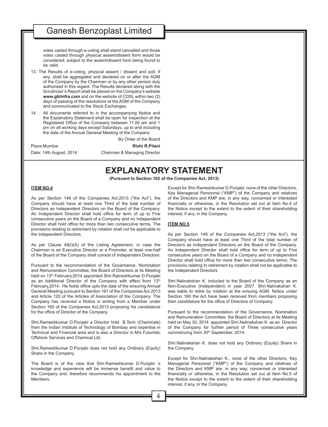### Ganesh Benzoplast Limited

votes casted through e-voting shall stand cancelled and those votes casted through physical assent/dissent form would be considered, subject to the assent/dissent form being found to be valid.

- 13. The Results of e-voting, physical assent / dissent and poll, if any, shall be aggregated and declared on or after the AGM of the Company by the Chairman or by any other person duly authorised in this regard. The Results declared along with the Scrutinizer's Report shall be placed on the Company's website **www.gblinfra.com** and on the website of CDSL within two (2) days of passing of the resolutions at the AGM of the Company and communicated to the Stock Exchanges.
- 14. All documents referred to in the accompanying Notice and the Explanatory Statement shall be open for inspection at the Registered Office of the Company between 11.00 am and 1 pm on all working days except Saturdays, up to and including the date of the Annual General Meeting of the Company

Place:Mumbai **Rishi R.Pilani** Date: 14th August, 2014 Chairman & Managing Director

By Order of the Board

# **EXPLANATORY STATEMENT**

**(Pursuant to Section 102 of the Companies Act, 2013)**

### **ITEM NO.4**

As per Section 149 of the Companies Act,2013 ("the Act"), the Company should have at least one Third of the total number of Directors as Independent Directors on the Board of the Company. An Independent Director shall hold office for term of up to Five consecutive years on the Board of a Company and no Independent Director shall hold office for more than two consecutive terms. The provisions relating to retirement by rotation shall not be applicable to the Independent Directors.

As per Clause 49(I)(A) of the Listing Agreement, in case the Chairman is an Executive Director or a Promoter, at least one-half of the Board of the Company shall consist of Independent Directors.

Pursuant to the recommendation of the Governance, Nomination and Remuneration Committee, the Board of Directors at its Meeting held on 13th February,2014 appointed Shri.Rameshkumar D.Punjabi as an Additional Director of the Company with effect from 13th February,2014 . He holds office upto the date of the ensuring Annual General Meeting pursuant to Section 161 of the Companies Act,2013 and Article 120 of the Articles of Association of the Company. The Company has received a Notice in writing from a Member under Section 160 of the Companies Act,2013 proposing his candidature for the office of Director of the Company.

Shri.Rameshkumar D.Punjabi a Director hold B.Tech (Chemicals) from the Indian Institute of Technology of Bombay and expertise in Technical and Financial area and is also a Director in M/s Futuristic Offshore Services and Chemical Ltd.

Shri.Rameshkumar D.Punjabi does not hold any Ordinary (Equity) Share in the Company.

The Board is of the view that Shri.Rameshkumar D.Punjabi 's knowledge and experience will be immense benefit and value to the Company and, therefore recommends his appointment to the Members.

Except for Shri.Rameshkumar D.Punjabi, none of the other Directors, Key Managerial Personnel ("KMP") of the Company and relatives of the Directors and KMP are, in any way, concerned or interested financially or otherwise, in the Resolution set out at Item No.4 of the Notice except to the extent to the extent of their shareholding interest, if any, in the Company.

### **ITEM NO.5**

As per Section 149 of the Companies Act,2013 ("the Act"), the Company should have at least one Third of the total number of Directors as Independent Directors on the Board of the Company. An Independent Director shall hold office for term of up to Five consecutive years on the Board of a Company and no Independent Director shall hold office for more than two consecutive terms. The provisions relating to retirement by rotation shall not be applicable to the Independent Directors.

Shri.Nalinakshan K. inducted to the Board of the Company as an Non-Executive (Independent) in year 2007. Shri.Nalinakshan K. was liable to retire by rotation at the ensuing AGM. Notice under Section 160 the Act have been received from members proposing their candidature for the office of Directors of Company.

Pursuant to the recommendation of the Governance, Nomination and Remuneration Committee, the Board of Directors at its Meeting held on May 30, 2014 appointed Shri.Nalinakshan K. as an Director of the Company for further period of Three consecutive years commencing from 30<sup>th</sup> September, 2014.

Shri.Nalinakshan K. does not hold any Ordinary (Equity) Share in the Company.

Except for Shri.Nalinakshan K., none of the other Directors, Key Managerial Personnel ("KMP") of the Company and relatives of the Directors and KMP are, in any way, concerned or interested financially or otherwise, in the Resolution set out at Item No.5 of the Notice except to the extent to the extent of their shareholding interest, if any, in the Company.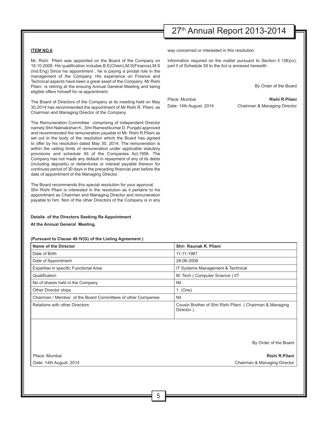# 27th Annual Report 2013-2014

### **ITEM NO.6**

Mr. Rishi Pilani was appointed on the Board of the Company on 18.10.2006. His qualification includes B.E(Chem),M.S(Finance),M.S (Ind.Eng) Since his appointment , he is paying a pivotal role in the management of the Company. His experience on Finance and Technical aspects have been a great asset of the Company. Mr Rishi Pilani is retiring at the ensuing Annual General Meeting and being eligible offers himself for re-appointment.

The Board of Directors of the Company at its meeting held on May 30,2014 has recommended the appointment of Mr.Rishi R. Pilani, as Chairman and Managing Director of the Company.

The Remuneration Committee comprising of independent Director namely Shri Nalinakshan K., Shri Rameshkumar D. Punjabi approved and recommended the remuneration payable to Mr. Rishi R.Pilani as set out in the body of the resolution which the Board has agreed to offer by his resolution dated May 30, 2014. The remuneration is within the ceiling limits of remuneration under applicable statutory provisions and schedule Xll of the Companies Act,1956. The Company has not made any default in repayment of any of its debts (including deposits) or debentures or interest payable thereon for continues period of 30 days in the preceding financial year before the date of appointment of the Managing Director.

The Board recommends this special resolution for your approval. Shri Rishi Pilani is interested in the resolution as it pertains to his appointment as Chairman and Managing Director and remuneration payable to him. Non of the other Directors of the Company is in any

### **Details of the Directors Seeking Re Appointment**

**At the Annual General Meeting.**

### **(Pursuant to Clause 49 IV(G) of the Listing Agreement )**

| Name of the Director                                         | Shri Raunak R. Pilani                                                 |
|--------------------------------------------------------------|-----------------------------------------------------------------------|
| Date of Birth                                                | 11-11-1987                                                            |
| Date of Appointment                                          | 28-06-2008                                                            |
| Expertise in specific Functional Area                        | IT Systems Management & Technical                                     |
| Qualification                                                | M. Tech (Computer Science) IIT                                        |
| No of shares held in the Company                             | Nil                                                                   |
| Other Director ships                                         | (One)                                                                 |
| Chairman / Member of the Board Committees of other Companies | Nil                                                                   |
| Relations with other Directors                               | Cousin Brother of Shri Rishi Pilani (Chairman & Managing<br>Director) |

By Order of the Board

Place: Mumbai **Rishi R.Pilani**

Date: 14th August, 2014 Chairman & Managing Director

way concerned or interested in this resolution.

Information required on the matter pursuant to Section ll 1(B)(iv), part ll of Schedule Xll to the Act is annexed herewith.

By Order of the Board

**Place: Mumbai <b>Rishi R.Pilani Rishi R.Pilani**<br>Date: 14th August, 2014 **Chairman & Managing Director** Chairman & Managing Director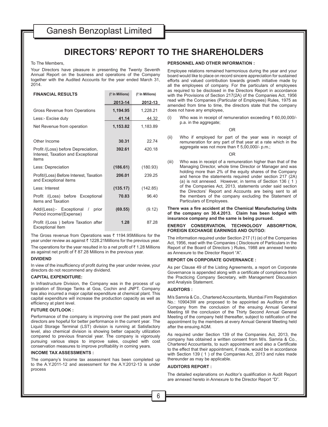# **DIRECTORS' REPORT TO THE SHAREHOLDERS**

### To The Members,

Your Directors have pleasure in presenting the Twenty Seventh Annual Report on the business and operations of the Company together with the Audited Accounts for the year ended March 31, 2014.

| <b>FINANCIAL RESULTS</b>                                                           | (₹ In Millions) | (₹ In Millions) |
|------------------------------------------------------------------------------------|-----------------|-----------------|
|                                                                                    | 2013-14         | 2012-13         |
| Gross Revenue from Operations                                                      | 1,194.95        | 1,228.21        |
| Less:- Excise duty                                                                 | 41.14           | 44.32           |
| Net Revenue from operation                                                         | 1,153.82        | 1,183.89        |
|                                                                                    |                 |                 |
| Other Income                                                                       | 30.31           | 22.74           |
| Profit /(Loss) before Depreciation,<br>Interest, Taxation and Exceptional<br>items | 392.61          | 420.18          |
| Less: Depreciation                                                                 | (186.61)        | (180.93)        |
| Profit/(Loss) Before Interest, Taxation<br>and Exceptional items                   | 206.01          | 239.25          |
| Less: Interest                                                                     | (135.17)        | (142.85)        |
| Profit /(Loss) before Exceptional<br>items and Taxation                            | 70.83           | 96.40           |
| Add/(Less):- Exceptional /<br>prior<br>Period income/(Expense)                     | (69.55)         | (9.12)          |
| Profit /(Loss) before Taxation after<br><b>Exceptional Item</b>                    | 1.28            | 87.28           |

The Gross revenue from Operations was  $\bar{\tau}$  1194.95Millions for the year under review as against  $\bar{\tau}$  1228.21Millions for the previous year. The operations for the year resulted in to a net profit of  $\bar{\tau}$  1.28 Millions as against net profit of  $\bar{\tau}$  87.28 Millions in the previous year.

### **DIVIDEND**

In view of the insufficiency of profit during the year under review, your directors do not recommend any dividend.

### **CAPITAL EXPENDITURE:**

In Infrastructure Division, the Company was in the process of up gradation of Storage Tanks at Goa, Cochin and JNPT. Company has also incurred a major capital expenditure at chemical plant. This capital expenditure will increase the production capacity as well as efficiency at plant level.

#### **FUTURE OUTLOOK :**

Performance of the company is improving over the past years and directors are hopeful for better performance in the current year. The Liquid Storage Terminal (LST) division is running at Satisfactory level, also chemical division is showing better capacity utilization compared to previous financial year. The company is vigorously pursuing various steps to improve sales, coupled with cost conservation measures to improve profitability in coming years.

### **INCOME TAX ASSESSMENTS :**

The company's Income tax assessment has been completed up to the A.Y.2011-12 and assessment for the A.Y.2012-13 is under process

### **PERSONNEL AND OTHER INFORMATION :**

Employee relations remained harmonious during the year and your board would like to place on record sincere appreciation for sustained efforts and valued contribution towards growth initiative made by all the employees of company. For the particulars of employees as required to be disclosed in the Directors Report in accordance with the Provisions of Section 217(2A) of the Companies Act, 1956 read with the Companies (Particular of Employees) Rules, 1975 as amended from time to time, the directors state that the company does not have any employee,

(i) Who was in receipt of remuneration exceeding  $\bar{\tau}$  60,00,000/p.a. in the aggregate;

OR

(ii) Who if employed for part of the year was in receipt of remuneration for any part of that year at a rate which in the aggregate was not more than  $\bar{z}$  5,00,000/- p.m.;

OR

(iii) Who was in receipt of a remuneration higher than that of the Managing Director, whole time Director or Manager and was holding more than 2% of the equity shares of the Company and hence the statements required under section 217 (2A) (a) is not annexed. However, in terms of Section 136  $(1)$ of the Companies Act, 2013, statements under said section the Directors' Report and Accounts are being sent to all the members of the company excluding the Statement of Particulars of Employees.

**There was a fire accident at the Chemical Manufacturing Units of the company on 30.4.2013. Claim has been lodged with insurance company and the same is being pursued.**

### **ENERGY CONSERVATION, TECHNOLOGY ABSORPTION, FOREIGN EXCHANGE EARNINGS AND OUTGO:**

The information required under Section 217 (1) (e) of the Companies Act, 1956, read with the Companies ( Disclosure of Particulars in the Report of the Board of Directors ) Rules, 1988 are annexed hereto as Annexure to the Director Report "A".

### **REPORT ON CORPORATE GOVERNANCE :**

As per Clause 49 of the Listing Agreements, a report on Corporate Governance is appended along with a certificate of compliance from the Practicing Company Secretary, with Management Discussion and Analysis Statement.

### **AUDITORS :**

M/s Samria & Co., Chartered Accountants, Mumbai Firm Registration No.: 109043W are proposed to be appointed as Auditors of the Company from the conclusion of the ensuing Annual General Meeting till the conclusion of the Thirty Second Annual General Meeting of the company held thereafter, subject to ratification of the appointment by the members at every Annual General Meeting held after the ensuing AGM.

As required under Section 139 of the Companies Act, 2013, the company has obtained a written consent from M/s. Samria & Co., Chartered Accountants, to such appointment and also a Certificate to the effect that their appointment, if made, would be in accordance with Section 139 ( 1 ) of the Companies Act, 2013 and rules made thereunder as may be applicable.

#### **AUDITORS REPORT :**

The detailed explanations on Auditor's qualification in Audit Report are annexed hereto in Annexure to the Director Report "D".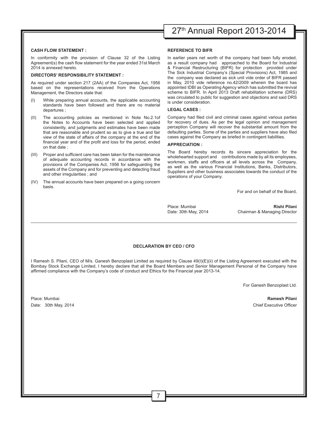# 27th Annual Report 2013-2014

### **CASH FLOW STATEMENT :**

In conformity with the provision of Clause 32 of the Listing Agreement(s) the cash flow statement for the year ended 31st March 2014 is annexed hereto.

### **DIRECTORS' RESPONSIBILITY STATEMENT :**

As required under section 217 (2AA) of the Companies Act, 1956 based on the representations received from the Operations Management, the Directors state that:

- (I) While preparing annual accounts, the applicable accounting standards have been followed and there are no material departures ;
- (II) The accounting policies as mentioned in Note No.2.1of the Notes to Accounts have been selected and applied consistently, and judgments and estimates have been made that are reasonable and prudent so as to give a true and fair view of the state of affairs of the company at the end of the financial year and of the profit and loss for the period, ended on that date ;
- (III) Proper and sufficient care has been taken for the maintenance of adequate accounting records in accordance with the provisions of the Companies Act, 1956 for safeguarding the assets of the Company and for preventing and detecting fraud and other irregularities ; and
- (IV) The annual accounts have been prepared on a going concern basis.

### **REFERENCE TO BIFR**

In earlier years net worth of the company had been fully eroded, as a result company had approached to the Board for Industrial & Financial Restructuring (BIFR) for protection provided under The Sick Industrial Company's (Special Provisions) Act, 1985 and the company was declared as sick unit vide order of BIFR passed in May, 2010 vide reference no.42/2009 wherein the board has appointed IDBI as Operating Agency which has submitted the revival scheme to BIFR. In April 2013 Draft rehabilitation scheme (DRS) was circulated to public for suggestion and objections and said DRS is under consideration.

#### **LEGAL CASES :**

Company had filed civil and criminal cases against various parties for recovery of dues. As per the legal opinion and management perception Company will recover the substantial amount from the defaulting parties. Some of the parties and suppliers have also filed cases against the Company as briefed in contingent liabilities.

### **APPRECIATION :**

The Board hereby records its sincere appreciation for the wholehearted support and contributions made by all its employees, workmen, staffs and officers at all levels across the Company, as well as the various Financial Institutions, Banks, Distributors, Suppliers and other business associates towards the conduct of the operations of your Company.

For and on behalf of the Board,

**Place: Mumbai <b>Rishi Pilani**<br>
Date: 30th May. 2014 **Chairman & Managing Director** Chairman & Managing Director

#### **DECLARATION BY CEO / CFO**

I Ramesh S. Pilani, CEO of M/s. Ganesh Benzoplast Limited as required by Clause 49(I)(E)(ii) of the Listing Agreement executed with the Bombay Stock Exchange Limited, I hereby declare that all the Board Members and Senior Management Personal of the Company have affirmed compliance with the Company's code of conduct and Ethics for the Financial year 2013-14.

For Ganesh Benzoplast Ltd.

Place: Mumbai **Ramesh Pilani**

Date: 30th May, 2014 Chief Executive Officer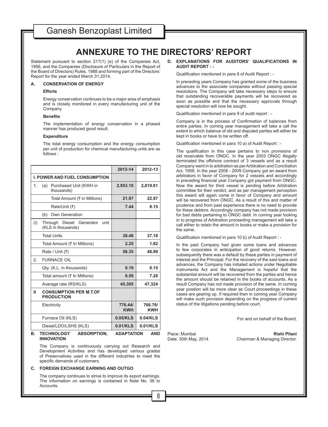# **ANNEXURE TO THE DIRECTORS' REPORT**

Statement pursuant to section 217(1) (e) of the Companies Act, 1956, and the Companies (Disclosure of Particulars in the Report of the Board of Directors) Rules, 1988 and forming part of the Directors' Report for the year ended March 31,2014.

### **A. CONSERVATION OF ENERGY**

### **Efforts**

Energy conservation continues to be a major area of emphasis and is closely monitored in every manufacturing unit of the Company.

### **Benefits**

The implementation of energy conservation in a phased manner has produced good result.

### **Expenditure**

The total energy consumption and the energy consumption per unit of production for chemical manufacturing units are as follows :

|               |                                                              | 2013-14               | 2012-13               |
|---------------|--------------------------------------------------------------|-----------------------|-----------------------|
|               | <b>I. POWER AND FUEL CONSUMPTION</b>                         |                       |                       |
| 1.            | Purchased Unit (KWH in<br>(a)<br>thousands)                  | 2,953.10              | 2,819.81              |
|               | Total Amount (₹ in Millions)                                 | 21.97                 | 22.97                 |
|               | Rate/Unit (₹)                                                | 7.44                  | 8.15                  |
|               | Own Generation<br>(b)                                        |                       |                       |
| (i)           | Through<br>Diesel<br>Generator<br>unit<br>(KLS in thousands) |                       |                       |
|               | <b>Total Units</b>                                           | 38.48                 | 37.18                 |
|               | Total Amount (₹ In Millions)                                 | 2.25                  | 1.82                  |
|               | Rate / Unit $(\bar{x})$                                      | 58.35                 | 48.99                 |
| $\mathcal{P}$ | <b>FURNACE OIL</b>                                           |                       |                       |
|               | Qty. (K.L. in thousands)                                     | 0.19                  | 0.15                  |
|               | Total amount (₹ In Millions)                                 | 8.59                  | 7.28                  |
|               | Average rate (RS/KLS)                                        | 45,305                | 47,324                |
| ш             | <b>CONSUMPTION PER M.T.OF</b><br><b>PRODUCTION</b>           |                       |                       |
|               | Electricity                                                  | 776.44/<br><b>KWH</b> | 766.76/<br><b>KWH</b> |
|               | Furnace Oil (KLS)                                            | $0.05$ /KLS           | $0.04$ /KLS           |
|               | Diesel/LDO/LSHS (KLS)                                        | 0.01/KLS              | 0.01/KLS              |
| В.            | <b>TECHNOLOGY</b><br><b>ABSORPTION,</b>                      | <b>ADAPTATION</b>     | <b>AND</b>            |

# **INNOVATION**

The Company is continuously carrying out Research and Development Activities and has developed various grades of Preservatives used in the different industries to meet the specific demands of customers.

### **C. FOREIGN EXCHANGE EARNING AND OUTGO**

The company continues to strive to improve its export earnings. The information on earnings is contained in Note No. 36 to Accounts.

**D. EXPLANATIONS FOR AUDITORS' QUALIFICATIONS IN AUDIT REPORT : -**

Qualification mentioned in para 8 of Audit Report : -

In preceding years Company has granted some of the business advances to the associate companies without passing special resolutions. The Company will take necessary steps to ensure that outstanding recoverable payments will be recovered as soon as possible and that the necessary approvals through special resolution will now be sought.

Qualification mentioned in para 9 of audit report : -

Company is in the process of Confirmation of balances from entire parties. In coming year management will take a call the extent to which balance of old and disputed parties will either be kept in books or have to be written off.

Qualification mentioned in para 10 a) of Audit Report : -

The qualification in this case pertains to non provisions of old receivable from ONGC. In the year 2003 ONGC illegally terminated the offshore contract of 3 vessels and as a result Company went in to arbitration as per Arbitration and Conciliation Act, 1956. In the year 2008 - 2009 Company got an award from arbitrators in favor of Company for 2 vessels and accordingly in preceding financial year Company got payment from ONGC. Now the award for third vessel is pending before Arbitration committee for their verdict, and as per management perception this award will again come in favor of Company and amount will be recovered from ONGC. As a result of this and matter of prudence and from past experience there is no need to provide for these debtors. Accordingly company has not made provision for bad debts pertaining to ONGC debt. In coming year looking in to progress of Arbitration proceeding management will take a call either to retain the amount in books or make a provision for the same.

Qualification mentioned in para 10 b) of Audit Report : -

In the past Company had given some loans and advances to few corporates in anticipation of good returns. However, subsequently there was a default by these parties in payment of interest and the Principal. For the recovery of the said loans and advances, the Company has initiated actions under Negotiable instruments Act and the Management is hopeful that the substantial amount will be recovered from the parties and hence the amount should be retained in the books of accounts. As a result Company has not made provision of the same. In coming year position will be more clear as Court proceedings in these cases are gearing up. If required then in coming year Company will make such provision depending on the progress of current status of the litigations pending before court.

For and on behalf of the Board,

Place: Mumbai **Rishi Pilani**<br>Date: 30th May, 2014 **Rishi Pilani** Chairman & Managing Director. Chairman & Managing Director.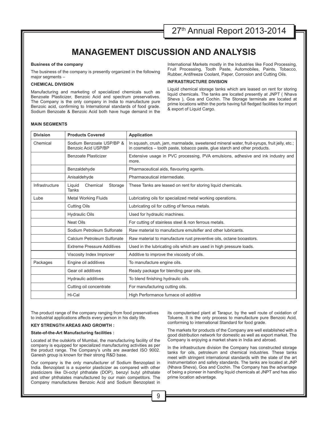# **MANAGEMENT DISCUSSION AND ANALYSIS**

### **Business of the company**

The business of the company is presently organized in the following major segments –

### **CHEMICAL DIVISION**

Manufacturing and marketing of specialized chemicals such as Benzoate Plasticizer, Benzoic Acid and spectrum preservatives. The Company is the only company in India to manufacture pure Benzoic acid, confirming to International standards of food grade. Sodium Benzoate & Benzoic Acid both have huge demand in the International Markets mostly in the Industries like Food Processing, Fruit Processing, Tooth Paste, Automobiles, Paints, Tobacco, Rubber, Antifreeze Coolant, Paper, Corrosion and Cutting Oils.

### **INFRASTRUCTURE DIVISION**

Liquid chemical storage tanks which are leased on rent for storing liquid chemicals. The tanks are located presently at JNPT ( Nhava Sheva ), Goa and Cochin. The Storage terminals are located at prime locations within the ports having full fledged facilities for import & export of Liquid Cargo.

### **MAIN SEGMENTS**

| <b>Division</b> | <b>Products Covered</b>                         | Application                                                                                                                                                               |
|-----------------|-------------------------------------------------|---------------------------------------------------------------------------------------------------------------------------------------------------------------------------|
| Chemical        | Sodium Benzoate USP/BP &<br>Benzoic Acid USP/BP | In squash, crush, jam, marmalade, sweetened mineral water, fruit-syrups, fruit jelly, etc.;<br>in cosmetics – tooth paste, tobacco paste, glue starch and other products. |
|                 | <b>Benzoate Plasticizer</b>                     | Extensive usage in PVC processing, PVA emulsions, adhesive and ink industry and<br>more.                                                                                  |
|                 | Benzaldehyde                                    | Pharmaceutical aids, flavouring agents.                                                                                                                                   |
|                 | Anisaldehyde                                    | Pharmaceutical intermediate.                                                                                                                                              |
| Infrastructure  | Chemical<br>Storage<br>Liguid<br>Tanks          | These Tanks are leased on rent for storing liquid chemicals.                                                                                                              |
| Lube            | <b>Metal Working Fluids</b>                     | Lubricating oils for specialized metal working operations.                                                                                                                |
|                 | <b>Cutting Oils</b>                             | Lubricating oil for cutting of ferrous metals.                                                                                                                            |
|                 | <b>Hydraulic Oils</b>                           | Used for hydraulic machines.                                                                                                                                              |
|                 | <b>Neat Oils</b>                                | For cutting of stainless steel & non ferrous metals.                                                                                                                      |
|                 | Sodium Petroleum Sulfonate                      | Raw material to manufacture emulsifier and other lubricants.                                                                                                              |
|                 | Calcium Petroleum Sulfonate                     | Raw material to manufacture rust preventive oils, octane booastors.                                                                                                       |
|                 | <b>Extreme Pressure Additives</b>               | Used in the lubricating oils which are used in high pressure loads.                                                                                                       |
|                 | Viscosity Index Improver                        | Additive to improve the viscosity of oils.                                                                                                                                |
| Packages        | Engine oil additives                            | To manufacture engine oils.                                                                                                                                               |
|                 | Gear oil additives                              | Ready package for blending gear oils.                                                                                                                                     |
|                 | <b>Hydraulic additives</b>                      | To blend finishing hydraulic oils.                                                                                                                                        |
|                 | Cutting oil concentrate                         | For manufacturing cutting oils.                                                                                                                                           |
|                 | Hi-Cal                                          | High Performance furnace oil additive                                                                                                                                     |

The product range of the company ranging from food preservatives to industrial applications affects every person in his daily life.

### **KEY STRENGTH AREAS AND GROWTH :**

### **State-of-the-Art Manufacturing facilities :**

Located at the outskirts of Mumbai, the manufacturing facility of the company is equipped for specialized manufacturing activities as per the product range. The Company's units are awarded ISO 9002. Ganesh group is known for their strong R&D base.

Our company is the only manufacturer of Sodium Benzoplast in India. Benzoplast is a superior plasticizer as compared with other plasticizers like Di-octyl phthalate (DOP), benzyl butyl phthalate and other phthalates manufactured by our main competitors. The Company manufactures Benzoic Acid and Sodium Benzoplast in

its computerised plant at Tarapur, by the well route of oxidation of Toluene. It is the only process to manufacture pure Benzoic Acid, conforming to international Standard for food grade.

The markets for products of the Company are well established with a good distribution network for domestic as well as export market. The Company is enjoying a market share in India and abroad.

In the infrastructure division the Company has constructed storage tanks for oils, petroleum and chemical industries. These tanks meet with stringent international standards with the state of the art instrumentation and safety standards. The tanks are located at JNP (Nhava Sheva), Goa and Cochin. The Company has the advantage of being a pioneer in handling liquid chemicals at JNPT and has also prime location advantage.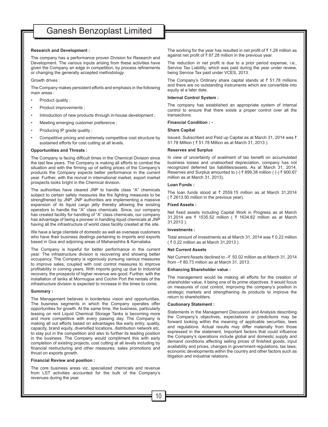### **Research and Development :**

The company has a performance proven Division for Research and Development. The various inputs arising from these activities have given the Company an edge in competition, by process refinements or changing the generally accepted methodology.

Growth drives :

The Company makes persistent efforts and emphasis in the following main areas :

- Product quality ;
- Product improvements ;
- Introduction of new products through in-house development ;
- Meeting emerging customer preference ;
- Producing IP grade quality ;
- Competitive pricing and extremely competitive cost structure by sustained efforts for cost cutting at all levels.

### **Opportunities and Threats :**

The Company is facing difficult times in the Chemical Division since the last few years. The Company is making all efforts to combat the situation and with the firming up of selling prices of the Company's products the Company expects better performance in the current year. Further, with the revival in international market, export market prospects looks bright in the Chemical division.

The authorities have cleared JNP to handle class "A" chemicals subject to certain safety measures like fire fighting measures to be strengthened by JNP. JNP authorities are implementing a massive expansion of its liquid cargo jetty thereby allowing the existing operators to handle the "A" class chemicals. Since, our company has created facility for handling of "A" class chemicals, our company has advantage of being a pioneer in handling liquid chemicals at JNP having all the infrastructure of world class facility created at the site.

We have a large clientele of domestic as well as overseas customers who have their business dealings pertaining to imports and exports based in Goa and adjoining areas of Maharashtra & Karnataka.

The Company is hopeful for better performance in the current year. The infrastructure division is recovering and showing better occupancy. The Company is vigorously pursuing various measures to improve sales, coupled with cost control measures to improve profitability in coming years. With imports going up due to industrial recovery, the prospects of higher revenue are good. Further, with the installation of tanks at Mormugoa and Cochin Port the rentals of the infrastructure division is expected to increase in the times to come.

#### **Summary :**

The Management believes in borderless vision and opportunities. The business segments in which the Company operates offer opportunities for growth. At the same time, the business, particularly leasing on rent Liquid Chemical Storage Tanks is becoming more and more competitive with every passing day. The Company is making all out efforts based on advantages like early entry, quality, capacity, brand equity, diversified locations, distribution network etc. to stay put in the competition and also to further its leading position in the business. The Company would compliment this with early completion of existing projects, cost cutting at all levels including by financial restructuring and other measures, sales promotions and thrust on exports growth.

### **Financial Review and position :**

The core business areas viz. specialized chemicals and revenue from LST activities accounted for the bulk of the Company's revenues during the year.

The working for the year has resulted in net profit of  $\bar{\tau}$  1.28 million as against net profit of  $\bar{z}$  87.28 million in the previous year.

The reduction in net profit is due to a prior period expense, i.e., Service Tax Liability, which was paid during the year under review, being Service Tax paid under VCES, 2013.

The Company's Ordinary share capital stands at  $\bar{\tau}$  51.78 millions and there are no outstanding instruments which are convertible into equity at a later date.

#### **Internal Control System :**

The company has established an appropriate system of internal control to ensure that there exists a proper control over all the transactions.

### **Financial Condition : -**

### **Share Capital**

Issued, Subscribed and Paid up Capital as at March 31, 2014 was ₹ 51.78 Million ( ₹ 51.78 Million as at March 31, 2013 ).

### **Reserves and Surplus**

In view of uncertainty of availment of tax benefit on accumulated business losses and unabsorbed depreciation, company has not recognized deferred tax liabilities/assets. As at March 31, 2014. Reserves and Surplus amounted to (-)  $\bar{\tau}$  899.38 million ((-)  $\bar{\tau}$  900.67 million as at March 31, 2013).

### **Loan Funds :**

The loan funds stood at  $\bar{\tau}$  2559.15 million as at March 31,2014  $($  ₹ 2613.50 million in the previous year).

### **Fixed Assets :**

Net fixed assets including Capital Work in Progress as at March 31,2014 are ₹ 1535.52 million ( ₹ 1634.82 million as at March 31,2013 ).

### **Investments :**

Total amount of investments as at March 31, 2014 was  $\bar{\tau}$  0.22 million ( ₹ 0.22 million as at March 31,2013 ).

### **Net Current Assets**

Net Current Assets declined to –₹ 50.02 million as at March 31, 2014 from  $-\overline{5}$  80.73 million as at March 31, 2013.

#### **Enhancing Shareholder value :**

The management would be making all efforts for the creation of shareholder value, it being one of its prime objectives. It would focus on measures of cost control, improving the company's position in strategic markets and strengthening its products to improve the return to shareholders.

#### **Cautionary Statement :**

Statements in the Management Discussion and Analysis describing the Company's objectives, expectations or predictions may be forward looking within the meaning of applicable securities, laws and regulations. Actual results may differ materially from those expressed in the statement. Important factors that could influence the Company's operations include global and domestic supply and demand conditions affecting selling prices of finished goods, input availability and prices, changes in government regulations, tax laws, economic developments within the country and other factors such as litigation and industrial relations.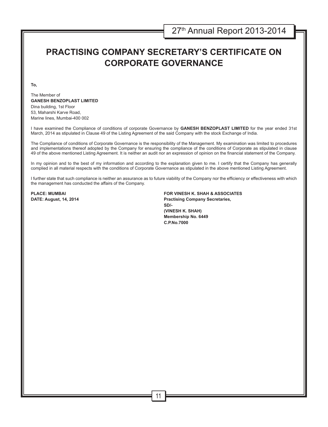# **PRACTISING COMPANY SECRETARY'S CERTIFICATE ON CORPORATE GOVERNANCE**

**To,**

### The Member of **GANESH BENZOPLAST LIMITED** Dina building, 1st Floor

53, Maharshi Karve Road, Marine lines, Mumbai-400 002

I have examined the Compliance of conditions of corporate Governance by **GANESH BENZOPLAST LIMITED** for the year ended 31st<br>March, 2014 as stipulated in Clause 49 of the Listing Agreement of the said Company with the stock

The Compliance of conditions of Corporate Governance is the responsibility of the Management. My examination was limited to procedures and implementations thereof adopted by the Company for ensuring the compliance of the conditions of Corporate as stipulated in clause 49 of the above mentioned Listing Agreement. It is neither an audit nor an expression of opinion on the financial statement of the Company.

In my opinion and to the best of my information and according to the explanation given to me. I certify that the Company has generally complied in all material respects with the conditions of Corporate Governance as stipulated in the above mentioned Listing Agreement.

I further state that such compliance is neither an assurance as to future viability of the Company nor the efficiency or effectiveness with which the management has conducted the affairs of the Company.

PLACE: MUMBAI **FOR VINESH K. SHAH & ASSOCIATES**<br> **PLACE: August, 14, 2014 For all Practising Company Secretaries**, **Practising Company Secretaries, SD/- SD/- (VINESH K. SHAH) Membership No. 6449 C.P.No.7000**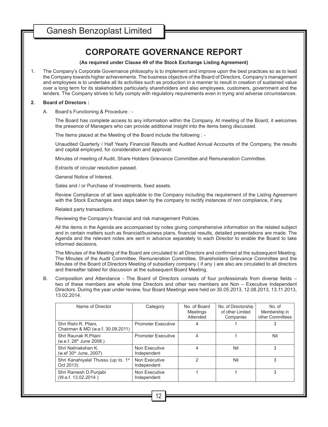# **CORPORATE GOVERNANCE REPORT**

### **(As required under Clause 49 of the Stock Exchange Listing Agreement)**

1. The Company's Corporate Governance philosophy is to implement and improve upon the best practices so as to lead the Company towards higher achievements. The business objective of the Board of Directors, Company's management and employees is to undertake all its activities such as production in a manner to result in creation of sustained value over a long term for its stakeholders particularly shareholders and also employees, customers, government and the lenders. The Company strives to fully comply with regulatory requirements even in trying and adverse circumstances.

### **2. Board of Directors :**

A. Board's Functioning & Procedure : -

The Board has complete access to any information within the Company. At meeting of the Board, it welcomes the presence of Managers who can provide additional insight into the items being discussed.

The Items placed at the Meeting of the Board include the following : -

Unaudited Quarterly / Half Yearly Financial Results and Audited Annual Accounts of the Company, the results and capital employed, for consideration and approval.

Minutes of meeting of Audit, Share Holders Grievance Committee and Remuneration Committee.

Extracts of circular resolution passed.

General Notice of Interest.

Sales and / or Purchase of Investments, fixed assets.

Review Compliance of all laws applicable to the Company including the requirement of the Listing Agreement with the Stock Exchanges and steps taken by the company to rectify instances of non compliance, if any.

Related party transactions.

Reviewing the Company's financial and risk management Policies.

All the items in the Agenda are accompanied by notes giving comprehensive information on the related subject and in certain matters such as financial/business plans, financial results, detailed presentations are made. The Agenda and the relevant notes are sent in advance separately to each Director to enable the Board to take informed decisions.

The Minutes of the Meeting of the Board are circulated to all Directors and confirmed at the subsequent Meeting. The Minutes of the Audit Committee, Remuneration Committee, Shareholders Grievance Committee and the Minutes of the Board of Directors Meeting of subsidiary company ( if any ) are also are circulated to all directors and thereafter tabled for discussion at the subsequent Board Meeting.

B. Composition and Attendance - The Board of Directors consists of four professionals from diverse fields – two of these members are whole time Directors and other two members are Non – Executive Independent Directors. During the year under review, four Board Meetings were held on 30.05.2013, 12.08.2013, 13.11.2013, 13.02.2014.

| Name of Director                                             | Category                     | No. of Board<br>Meetings<br>Attended | No. of Directorship<br>of other Limited<br>Companies | No of<br>Membership in<br>other Committees |
|--------------------------------------------------------------|------------------------------|--------------------------------------|------------------------------------------------------|--------------------------------------------|
| Shri Rishi R. Pilani,<br>Chairman & MD (w.e.f. 30.09.2011)   | <b>Promoter Executive</b>    | 4                                    |                                                      |                                            |
| Shri Raunak R.Pilani<br>(w.e.f. 28 <sup>th</sup> June 2008.) | Promoter Executive           | 4                                    |                                                      | Nil                                        |
| Shri Nalinakshan K.<br>(w.ef 30 <sup>th</sup> June, 2007)    | Non Executive<br>Independent | 4                                    | Nil                                                  | 3                                          |
| Shri Kanahiyalal Thussu (up to. 1st<br>Oct 2013)             | Non Executive<br>Independent | 2                                    | Nil                                                  | 3                                          |
| Shri Ramesh D.Punjabi<br>(W.e.f. 13.02.2014)                 | Non Executive<br>Independent |                                      |                                                      | 3                                          |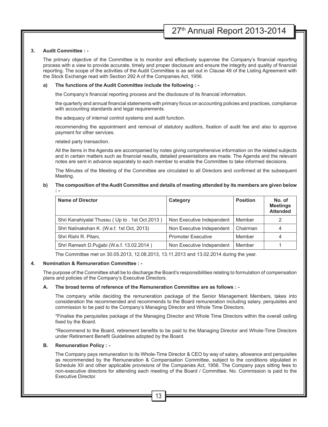# 27th Annual Report 2013-2014

### **3. Audit Committee : -**

The primary objective of the Committee is to monitor and effectively supervise the Company's financial reporting process with a view to provide accurate, timely and proper disclosure and ensure the integrity and quality of financial reporting. The scope of the activities of the Audit Committee is as set out in Clause 49 of the Listing Agreement with the Stock Exchange read with Section 292 A of the Companies Act, 1956.

### **a) The functions of the Audit Committee include the following : -**

the Company's financial reporting process and the disclosure of its financial information.

the quarterly and annual financial statements with primary focus on accounting policies and practices, compliance with accounting standards and legal requirements.

the adequacy of internal control systems and audit function.

recommending the appointment and removal of statutory auditors, fixation of audit fee and also to approve payment for other services.

### related party transaction.

All the items in the Agenda are accompanied by notes giving comprehensive information on the related subjects and in certain matters such as financial results, detailed presentations are made. The Agenda and the relevant notes are sent in advance separately to each member to enable the Committee to take informed decisions.

The Minutes of the Meeting of the Committee are circulated to all Directors and confirmed at the subsequent Meeting.

### **b) The composition of the Audit Committee and details of meeting attended by its members are given below : -**

| <b>Name of Director</b>                        | Category                  | <b>Position</b> | No. of<br><b>Meetings</b><br><b>Attended</b> |
|------------------------------------------------|---------------------------|-----------------|----------------------------------------------|
| Shri Kanahiyalal Thussu (Up to . 1st Oct 2013) | Non Executive Independent | Member          | 2                                            |
| Shri Nalinakshan K. (W.e.f. 1st Oct, 2013)     | Non Executive Independent | Chairman        | 4                                            |
| Shri Rishi R. Pilani,                          | <b>Promoter Executive</b> | Member          | 4                                            |
| Shri Ramesh D.Pujjabi (W.e.f. 13.02.2014)      | Non Executive Independent | Member          |                                              |

The Committee met on 30.05.2013, 12.08.2013, 13.11.2013 and 13.02.2014 during the year.

### **4. Nomination & Remuneration Committee : -**

The purpose of the Committee shall be to discharge the Board's responsibilities relating to formulation of compensation plans and policies of the Company's Executive Directors.

### **A. The broad terms of reference of the Remuneration Committee are as follows : -**

The company while deciding the remuneration package of the Senior Management Members, takes into consideration the recommended and recommends to the Board remuneration including salary, perquisites and commission to be paid to the Company's Managing Director and Whole Time Directors.

\*Finalise the perquisites package of the Managing Director and Whole Time Directors within the overall ceiling fixed by the Board.

\*Recommend to the Board, retirement benefits to be paid to the Managing Director and Whole-Time Directors under Retirement Benefit Guidelines adopted by the Board.

### **B. Remuneration Policy : -**

The Company pays remuneration to its Whole-Time Director & CEO by way of salary, allowance and perquisites as recommended by the Remuneration & Compensation Committee, subject to the conditions stipulated in Schedule XII and other applicable provisions of the Companies Act, 1956. The Company pays sitting fees to non-executive directors for attending each meeting of the Board / Committee. No. Commission is paid to the Executive Director.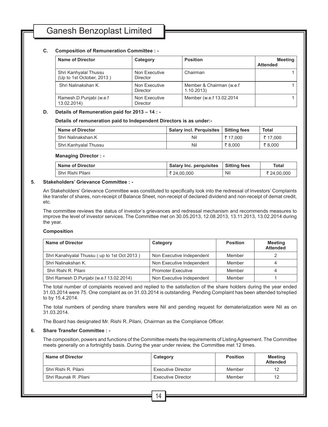# Ganesh Benzoplast Limited

### **C. Composition of Remuneration Committee : -**

| Name of Director                                   | Category                         | <b>Position</b>                       | <b>Meeting</b><br><b>Attended</b> |
|----------------------------------------------------|----------------------------------|---------------------------------------|-----------------------------------|
| Shri Kanhyalal Thussu<br>(Up to 1st October, 2013) | Non Executive<br>Director        | Chairman                              |                                   |
| Shri Nalinakshan K.                                | Non Executive<br><b>Director</b> | Member & Chairman (w.e.f<br>1.10.2013 |                                   |
| Ramesh.D.Punjabi (w.e.f<br>13.02.2014)             | Non Executive<br><b>Director</b> | Member (w.e.f 13.02.2014)             |                                   |

### **D. Details of Remuneration paid for 2013 – 14 : -**

**Details of remuneration paid to Independent Directors is as under:-**

| <b>Name of Director</b> | Salary incl. Perquisites | Sitting fees | Total    |
|-------------------------|--------------------------|--------------|----------|
| Shri Nalinakshan.K      | Nil                      | ₹ 17.000     | ₹ 17.000 |
| Shri.Kanhyalal Thussu   | Nil                      | ₹8.000       | ₹8.000   |

### **Managing Director : -**

| <b>Name of Director</b> | <b>Salary Inc. perquisites</b> | Sitting fees | <b>Total</b> |
|-------------------------|--------------------------------|--------------|--------------|
| Shri Rishi Pilani       | ₹ 24.00.000                    | Nil          | ₹ 24.00.000  |

### **5. Stakeholders' Grievance Committee : -**

An Stakeholders' Grievance Committee was constituted to specifically look into the redressal of Investors' Complaints like transfer of shares, non-receipt of Balance Sheet, non-receipt of declared dividend and non-receipt of demat credit, etc.

The committee reviews the status of investor's grievances and redressal mechanism and recommends measures to improve the level of investor services. The Committee met on 30.05.2013, 12.08.2013, 13.11.2013, 13.02.2014 during the year.

### **Composition**

| <b>Name of Director</b>                      | Category                  | <b>Position</b> | <b>Meeting</b><br><b>Attended</b> |
|----------------------------------------------|---------------------------|-----------------|-----------------------------------|
| Shri Kanahiyalal Thussu (up to 1st Oct 2013) | Non Executive Independent | Member          |                                   |
| Shri Nalinakshan K.                          | Non Executive Independent | Member          |                                   |
| Shri Rishi R. Pilani                         | <b>Promoter Executive</b> | Member          |                                   |
| Shri Ramesh D. Punjabi (w.e.f 13.02.2014)    | Non Executive Independent | Member          |                                   |

The total number of complaints received and replied to the satisfaction of the share holders during the year ended 31.03.2014 were 75. One complaint as on 31.03.2014 is outstanding. Pending Complaint has been attended to/replied to by 15.4.2014.

The total numbers of pending share transfers were Nil and pending request for dematerialization were Nil as on 31.03.2014.

The Board has designated Mr. Rishi R..Pilani, Chairman as the Compliance Officer.

### **6. Share Transfer Committee : -**

The composition, powers and functions of the Committee meets the requirements of Listing Agreement. The Committee meets generally on a fortnightly basis. During the year under review, the Committee met 12 times.

| <b>Name of Director</b> | Category                  | <b>Position</b> | Meeting<br><b>Attended</b> |
|-------------------------|---------------------------|-----------------|----------------------------|
| Shri Rishi R. Pilani    | Executive Director        | Member          |                            |
| Shri Raunak R. Pilani   | <b>Executive Director</b> | Member          |                            |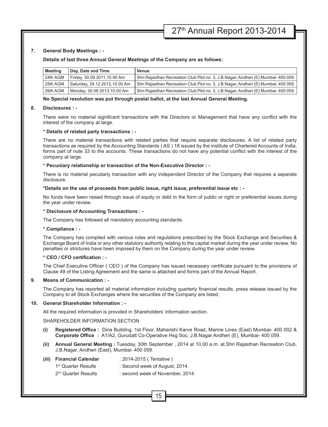### **7. General Body Meetings : -**

**Details of last three Annual General Meetings of the Company are as follows:**

| Meeting  | Dav. Date and Time            | Venue                                                                              |
|----------|-------------------------------|------------------------------------------------------------------------------------|
| 24th AGM | Friday, 30.09.2011,10.00 Am   | Shri Rajasthan Recreation Club Plot no. 3, J.B.Nagar, Andheri (E) Mumbai- 400 059. |
| 25th AGM | Saturday, 29.12.2012.10.00 Am | Shri Rajasthan Recreation Club Plot no. 3, J.B.Nagar, Andheri (E) Mumbai- 400 059. |
| 26th AGM | Monday, 30.09.2013.10.00 Am   | Shri Rajasthan Recreation Club Plot no. 3, J.B.Nagar, Andheri (E) Mumbai- 400 059. |

### **No Special resolution was put through postal ballot, at the last Annual General Meeting.**

### **8. Disclosures : -**

There were no material significant transactions with the Directors or Management that have any conflict with the interest of the company at large.

### **\* Details of related party transactions : -**

There are no material transactions with related parties that require separate disclosures. A list of related party transactions as required by the Accounting Standards ( AS ) 18 issued by the institute of Chartered Accounts of India, forms part of note 33 to the accounts. These transactions do not have any potential conflict with the interest of the company at large.

### **\* Pecuniary relationship or transaction of the Non-Executive Director : -**

There is no material peculiarly transaction with any independent Director of the Company that requires a separate disclosure.

### **\*Details on the use of proceeds from public issue, right issue, preferential issue etc : -**

No funds have been raised through issue of equity or debt in the form of public or right or preferential issues during the year under review.

### **\* Disclosure of Accounting Transactions : -**

The Company has followed all mandatory accounting standards.

### **\* Compliance : -**

The Company has complied with various rules and regulations prescribed by the Stock Exchange and Securities & Exchange Board of India or any other statutory authority relating to the capital market during the year under review. No penalties or strictures have been imposed by them on the Company during the year under review.

### **\* CEO / CFO certification : -**

The Chief Executive Officer ( CEO ) of the Company has issued necessary certificate pursuant to the provisions of Clause 49 of the Listing Agreement and the same is attached and forms part of the Annual Report.

### **9. Means of Communication : -**

The Company has reported all material information including quarterly financial results, press release issued by the Company to all Stock Exchanges where the securities of the Company are listed.

### **10. General Shareholder Information : -**

All the required information is provided in Shareholders' information section.

### SHAREHOLDER INFORMATION SECTION

- **(i) Registered Office :** Dina Building, 1st Floor, Maharishi Karve Road, Marine Lines (East) Mumbai- 400 002 & **Corporate Office :** A1/A2, Gurudatt Co-Operative Hsg Soc, J.B.Nagar Andheri (E), Mumbai- 400 059.
- **(ii) Annual General Meeting :** Tuesday, 30th September , 2014 at 10.00 a.m. at.Shri Rajasthan Recreation Club, J.B.Nagar, Andheri (East), Mumbai- 400 059.

| (iii) Financial Calendar | : 2014-2015 (Tentative) |
|--------------------------|-------------------------|
|                          |                         |

- 1<sup>st</sup> Quarter Results : Second week of August, 2014.
	- 2<sup>nd</sup> Quarter Results : second week of November, 2014.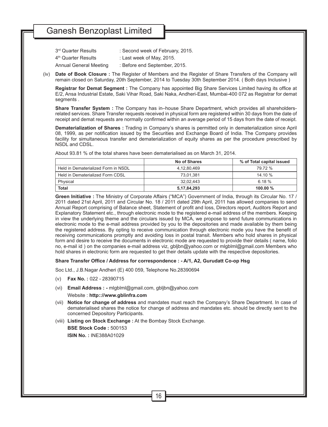### Ganesh Benzoplast Limited

3rd Quarter Results : Second week of February, 2015.

4<sup>th</sup> Quarter Results : Last week of May, 2015.

Annual General Meeting : Before end September, 2015.

(iv) **Date of Book Closure :** The Register of Members and the Register of Share Transfers of the Company will remain closed on Saturday, 20th September, 2014 to Tuesday 30th September 2014. ( Both days Inclusive )

**Registrar for Demat Segment :** The Company has appointed Big Share Services Limited having its office at E/2, Ansa Industrial Estate, Saki Vihar Road, Saki Naka, Andheri-East, Mumbai-400 072 as Registrar for demat segments .

**Share Transfer System :** The Company has in–house Share Department, which provides all shareholdersrelated services. Share Transfer requests received in physical form are registered within 30 days from the date of receipt and demat requests are normally confirmed within an average period of 15 days from the date of receipt.

**Dematerialization of Shares :** Trading in Company's shares is permitted only in dematerialization since April 08, 1999, as per notification issued by the Securities and Exchange Board of India. The Company provides facility for simultaneous transfer and dematerialization of equity shares as per the procedure prescribed by NSDL and CDSL.

About 93.81 % of the total shares have been dematerialised as on March 31, 2014.

|                                     | No of Shares | % of Total capital issued |
|-------------------------------------|--------------|---------------------------|
| Held in Dematerialized Form in NSDL | 4,12,80,469  | 79.72 %                   |
| Held in Dematerialized Form CDSL    | 73.01.381    | 14 10 $\%$                |
| Physical                            | 32.02.443    | 6.18%                     |
| <b>Total</b>                        | 5,17,84,293  | 100.00 $%$                |

**Green Initiative :** The Ministry of Corporate Affairs ("MCA") Government of India, through its Circular No. 17 / 2011 dated 21st April, 2011 and Circular No. 18 / 2011 dated 29th April, 2011 has allowed companies to send Annual Report comprising of Balance sheet, Statement of profit and loss, Directors report, Auditors Report and Explanatory Statement etc., through electronic mode to the registered e-mail address of the members. Keeping in view the underlying theme and the circulars issued by MCA, we propose to send future communications in electronic mode to the e-mail address provided by you to the depositories and made available by them being the registered address. By opting to receive communication through electronic mode you have the benefit of receiving communications promptly and avoiding loss in postal transit. Members who hold shares in physical form and desire to receive the documents in electronic mode are requested to provide their details ( name, folio no, e-mail id ) on the companies e-mail address viz, gbljbn@yahoo.com or mlgblml@gmail.com Members who hold shares in electronic form are requested to get their details update with the respective depositories.

### **Share Transfer Office / Address for correspondence : - A/1, A2, Gurudatt Co-op Hsg**

Soc Ltd., J.B.Nagar Andheri (E) 400 059, Telephone No.28390694

- (v) **Fax No. :** 022 28390715
- (vi) **Email Address : -** mlgblml@gmail.com, gbljbn@yahoo.com Website : **http:://www.gblinfra.com**
- (vii) **Notice for change of address** and mandates must reach the Company's Share Department. In case of dematerialised shares the notice for change of address and mandates etc. should be directly sent to the concerned Depository Participants.
- (viii) **Listing on Stock Exchange :** At the Bombay Stock Exchange. **BSE Stock Code :** 500153

**ISIN No. :** INE388A01029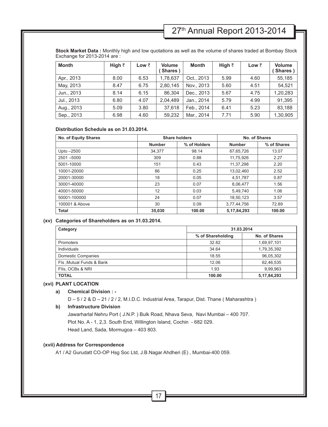# 27<sup>th</sup> Annual Report 2013-2014

**Stock Market Data :** Monthly high and low quotations as well as the volume of shares traded at Bombay Stock Exchange for 2013-2014 are :

| <b>Month</b> | High $\bar{z}$ | Low $\bar{z}$ | Volume<br>Shares) | <b>Month</b> | High $\bar{z}$ | Low $\bar{z}$ | <b>Volume</b><br>Shares) |
|--------------|----------------|---------------|-------------------|--------------|----------------|---------------|--------------------------|
| Apr., 2013   | 8.00           | 6.53          | 1,78,637          | Oct., 2013   | 5.99           | 4.60          | 55,185                   |
| May, 2013    | 8.47           | 6.75          | 2,80,145          | Nov., 2013   | 5.60           | 4.51          | 54.521                   |
| Jun., 2013   | 8.14           | 6.15          | 86.304            | Dec., 2013   | 5.67           | 4.75          | 1,20,283                 |
| Jul., 2013   | 6.80           | 4.07          | 2.04.489          | Jan., 2014   | 5.79           | 4.99          | 91,395                   |
| Aug., 2013   | 5.09           | 3.80          | 37.618            | Feb., 2014   | 6.41           | 5.23          | 83,188                   |
| Sep., 2013   | 6.98           | 4.60          | 59.232            | Mar., 2014   | 7.71           | 5.90          | 1,30,905                 |

### **Distribution Schedule as on 31.03.2014.**

| No. of Equity Shares | <b>Share holders</b> |              | No. of Shares  |             |
|----------------------|----------------------|--------------|----------------|-------------|
|                      | <b>Number</b>        | % of Holders | <b>Number</b>  | % of Shares |
| Upto $-2500$         | 34.377               | 98.14        | 67,65,726      | 13.07       |
| 2501-5000            | 309                  | 0.88         | 11,75,926      | 2.27        |
| 5001-10000           | 151                  | 0.43         | 11,37,298      | 2.20        |
| 10001-20000          | 86                   | 0.25         | 13,02,460      | 2.52        |
| 20001-30000          | 18                   | 0.05         | 4,51,787       | 0.87        |
| 30001-40000          | 23                   | 0.07         | 8.06.477       | 1.56        |
| 40001-50000          | 12                   | 0.03         | 5,49,740       | 1.06        |
| 50001-100000         | 24                   | 0.07         | 18,50,123      | 3.57        |
| 100001 & Above       | 30                   | 0.09         | 3,77,44,756    | 72.89       |
| <b>Total</b>         | 35,030               | 100.00       | 5, 17, 84, 293 | 100.00      |

### **(xv) Categories of Shareholders as on 31.03.2014.**

| Category                 | 31.03.2014        |                |  |
|--------------------------|-------------------|----------------|--|
|                          | % of Shareholding | No. of Shares  |  |
| <b>Promoters</b>         | 32.82             | 1,69,97,101    |  |
| Individuals              | 34.64             | 1,79,35,392    |  |
| Domestic Companies       | 18.55             | 96,05,302      |  |
| Fls, Mutual Funds & Bank | 12.06             | 62,46,535      |  |
| Fils. OCBs & NRI         | 1.93              | 9,99,963       |  |
| <b>TOTAL</b>             | 100.00            | 5, 17, 84, 293 |  |

### **(xvi) PLANT LOCATION**

### **a) Chemical Division : -**

D – 5 / 2 & D – 21 / 2 / 2, M.I.D.C. Industrial Area, Tarapur, Dist. Thane ( Maharashtra )

### **b) Infrastructure Division**

Jawarharlal Nehru Port ( J.N.P. ) Bulk Road, Nhava Seva, Navi Mumbai – 400 707. Plot No. A - 1, 2,3. South End, Willington Island, Cochin - 682 029. Head Land, Sada, Mormugoa – 403 803.

### **(xvii) Address for Correspondence**

A1 / A2 Gurudatt CO-OP Hsg Soc Ltd, J.B.Nagar Ahdheri (E) , Mumbai-400 059.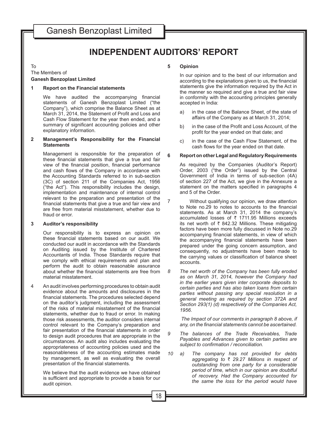# **INDEPENDENT AUDITORS' REPORT**

### To

The Members of **Ganesh Benzoplast Limited**

### **1 Report on the Financial statements**

We have audited the accompanying financial statements of Ganesh Benzoplast Limited ("the Company"), which comprise the Balance Sheet as at March 31, 2014, the Statement of Profit and Loss and Cash Flow Statement for the year then ended, and a summary of significant accounting policies and other explanatory information.

### **2 Management's Responsibility for the Financial Statements**

Management is responsible for the preparation of these financial statements that give a true and fair view of the financial position, financial performance and cash flows of the Company in accordance with the Accounting Standards referred to in sub-section (3C) of section 211 of the Companies Act, 1956 ("the Act"). This responsibility includes the design, implementation and maintenance of internal control relevant to the preparation and presentation of the financial statements that give a true and fair view and are free from material misstatement, whether due to fraud or error.

### **3 Auditor's responsibility**

Our responsibility is to express an opinion on these financial statements based on our audit. We conducted our audit in accordance with the Standards on Auditing issued by the Institute of Chartered Accountants of India. Those Standards require that we comply with ethical requirements and plan and perform the audit to obtain reasonable assurance about whether the financial statements are free from material misstatement.

4 An audit involves performing procedures to obtain audit evidence about the amounts and disclosures in the financial statements. The procedures selected depend on the auditor's judgment, including the assessment of the risks of material misstatement of the financial statements, whether due to fraud or error. In making those risk assessments, the auditor considers internal control relevant to the Company's preparation and fair presentation of the financial statements in order to design audit procedures that are appropriate in the circumstances. An audit also includes evaluating the appropriateness of accounting policies used and the reasonableness of the accounting estimates made by management, as well as evaluating the overall presentation of the financial statements.

We believe that the audit evidence we have obtained is sufficient and appropriate to provide a basis for our audit opinion.

### **5 Opinion**

In our opinion and to the best of our information and according to the explanations given to us, the financial statements give the information required by the Act in the manner so required and give a true and fair view in conformity with the accounting principles generally accepted in India:

- a) in the case of the Balance Sheet, of the state of affairs of the Company as at March 31, 2014;
- b) in the case of the Profit and Loss Account, of the profit for the year ended on that date; and
- c) in the case of the Cash Flow Statement, of the cash flows for the year ended on that date.

### **6 Report on other Legal and Regulatory Requirements**

As required by the Companies (Auditor's Report) Order, 2003 ("the Order") issued by the Central Government of India in terms of sub-section (4A) of section 227 of the Act, we give in the Annexure a statement on the matters specified in paragraphs 4 and 5 of the Order.

- 7 Without qualifying our opinion, we draw attention to Note no.29 to notes to accounts to the financial statements. As at March 31, 2014 the company's accumulated losses of  $\bar{\tau}$  1711.95 Millions exceeds its net worth of  $\bar{\tau}$  842.32 Millions. These mitigating factors have been more fully discussed in Note no.29 accompanying financial statements, in view of which the accompanying financial statements have been prepared under the going concern assumption, and consequently, no adjustments have been made to the carrying values or classification of balance sheet accounts.
- *8 The net worth of the Company has been fully eroded as on March 31, 2014, however the Company had in the earlier years given inter corporate deposits to certain parties and has also taken loans from certain parties without passing any special resolution in a general meeting as required by section 372A and Section 293(1) (d) respectively of the Companies Act, 1956.*

 *The Impact of our comments in paragraph 8 above, if any, on the financial statements cannot be ascertained.*

- *9 The balances of the Trade Receivables, Trade Payables and Advances given to certain parties are subject to confirmation / reconciliation.*
- *10 a) The company has not provided for debts aggregating to* ` *29.27 Millions in respect of outstanding from one party for a considerable period of time, which in our opinion are doubtful of recovery. Had the Company accounted for the same the loss for the period would have*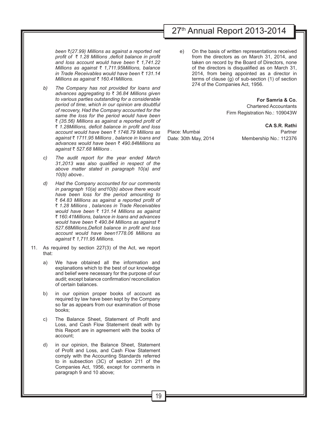*been* `*(27.99) Millions as against a reported net profit of* ` *1.28 Millions ,deficit balance in profit and loss account would have been* ` *1,741.22 Millions as against* ` *1,711.95Millions, balance in Trade Receivables would have been* ` *131.14 Millions as against* ` *160.41Millions.*

- *b) The Company has not provided for loans and advances aggregating to* ` *36.84 Millions given to various parties outstanding for a considerable period of time, which in our opinion are doubtful of recovery, Had the Company accounted for the same the loss for the period would have been*  ` *(35.56) Millions as against a reported profit of*  ` *1.28Millions, deficit balance in profit and loss account would have been* ` *1748.79 Millions as against* ` *1711.95 Millions , balance in loans and advances would have been* ` *490.84Millions as against* ` *527.68 Millions .*
- *c) The audit report for the year ended March 31,2013 was also qualified in respect of the above matter stated in paragraph 10(a) and 10(b) above..*
- *d) Had the Company accounted for our comments in paragraph 10(a) and10(b) above there would have been loss for the period amounting to*  ` *64.83 Millions as against a reported profit of*  ` *1.28 Millions , balances in Trade Receivables would have been* ` *131.14 Millions as against*  ` *160.41Millions, balance in loans and advances would have been* ` *490.84 Millions as against* ` *527.68Millions,Deficit balance in profit and loss account would have been1778.06 Millions as against* ` *1,711.95 Millions.*
- 11. As required by section 227(3) of the Act, we report that:
	- a) We have obtained all the information and explanations which to the best of our knowledge and belief were necessary for the purpose of our audit; except balance confirmation/ reconciliation of certain balances.
	- b) in our opinion proper books of account as required by law have been kept by the Company so far as appears from our examination of those books;
	- c) The Balance Sheet, Statement of Profit and Loss, and Cash Flow Statement dealt with by this Report are in agreement with the books of account;
	- d) in our opinion, the Balance Sheet, Statement of Profit and Loss, and Cash Flow Statement comply with the Accounting Standards referred to in subsection (3C) of section 211 of the Companies Act, 1956, except for comments in paragraph 9 and 10 above;

e) On the basis of written representations received from the directors as on March 31, 2014, and taken on record by the Board of Directors, none of the directors is disqualified as on March 31, 2014, from being appointed as a director in terms of clause (g) of sub-section (1) of section 274 of the Companies Act, 1956.

> **For Samria & Co.** Chartered Accountants Firm Registration No.: 109043W

**CA S.R. Rathi** Place: Mumbai **Partner** Date: 30th May, 2014 Membership No.: 112376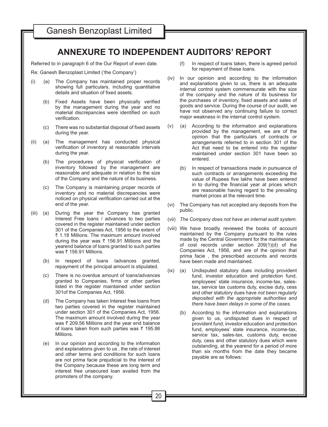# **ANNEXURE TO INDEPENDENT AUDITORS' REPORT**

Referred to in paragraph 6 of the Our Report of even date.

Re: Ganesh Benzoplast Limited ('the Company')

- (i) (a) The Company has maintained proper records showing full particulars, including quantitative details and situation of fixed assets.
	- (b) Fixed Assets have been physically verified by the management during the year and no material discrepancies were identified on such verification.
	- (c) There was no substantial disposal of fixed assets during the year.
- (ii) (a) The management has conducted physical verification of inventory at reasonable intervals during the year.
	- (b) The procedures of physical verification of inventory followed by the management are reasonable and adequate in relation to the size of the Company and the nature of its business.
	- (c) The Company is maintaining proper records of inventory and no material discrepancies were noticed on physical verification carried out at the end of the year.
- (iii) (a) During the year the Company has granted Interest Free loans / advances to two parties covered in the register maintained under section 301 of the Companies Act, 1956 to the extent of ` 1.18 Millions. The maximum amount involved during the year was  $\bar{\tau}$  156.91 Millions and the yearend balance of loans granted to such parties was  $\bar{\tau}$  156.91 Millions.
	- (b) In respect of loans /advances granted, repayment of the principal amount is stipulated.
	- (c) There is no overdue amount of loans/advances granted to Companies, firms or other parties listed in the register maintained under section 301of the Companies Act, 1956.
	- (d) The Company has taken Interest free loans from two parties covered in the register maintained under section 301 of the Companies Act, 1956. The maximum amount involved during the year was  $\bar{\tau}$  209.56 Millions and the year end balance of loans taken from such parties was  $\bar{z}$  195.86 Millions.
	- (e) In our opinion and according to the information and explanations given to us, the rate of interest and other terms and conditions for such loans are not prima facie prejudicial to the interest of the Company because these are long term and interest free unsecured loan availed from the promoters of the company.
- (f) In respect of loans taken, there is agreed period for repayment of these loans.
- (iv) In our opinion and according to the information and explanations given to us, there is an adequate internal control system commensurate with the size of the company and the nature of its business for the purchases of inventory, fixed assets and sales of goods and service. During the course of our audit, we have not observed any continuing failure to correct major weakness in the internal control system.
- (v) (a) According to the information and explanations provided by the management, we are of the opinion that the particulars of contracts or arrangements referred to in section 301 of the Act that need to be entered into the register maintained under section 301 have been so entered.
	- (b) In respect of transactions made in pursuance of such contracts or arrangements exceeding the value of Rupees five lakhs have been entered in to during the financial year at prices which are reasonable having regard to the prevailing market prices at the relevant time.
- (vi) The Company has not accepted any deposits from the public.
- (vii) *The Company does not have an internal audit system.*
- (viii) We have broadly reviewed the books of account maintained by the Company pursuant to the rules made by the Central Government for the maintenance of cost records under section 209(1)(d) of the Companies Act, 1956, and are of the opinion that prima facie , the prescribed accounts and records have been made and maintained.
- (ix) (a) Undisputed statutory dues including provident fund, investor education and protection fund, employees' state insurance, income-tax, salestax, service tax customs duty, excise duty, cess and other statutory dues have *not been regularly deposited with the appropriate authorities and there have been delays in some of the cases.*
	- (b) According to the information and explanations given to us, undisputed dues in respect of provident fund, investor education and protection fund, employees' state insurance, income-tax, service tax, sales-tax, customs duty, excise duty, cess and other statutory dues which were outstanding, at the yearend for a period of more than six months from the date they became payable are as follows: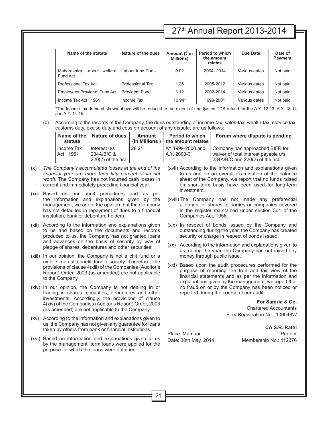# 27th Annual Report 2013-2014

| Name of the statute                          | Nature of the dues    | Amount $(\bar{z})$ in<br><b>Millions</b> ) | Period to which<br>the amount<br>relates | Due Date      | Date of<br>Payment |
|----------------------------------------------|-----------------------|--------------------------------------------|------------------------------------------|---------------|--------------------|
| Maharashtra<br>welfare<br>Labour<br>Fund Act | Labour fund Dues      | 0.02                                       | 2004-2014                                | Various dates | Not paid           |
| <b>Professional Tax Act</b>                  | Professional Tax      | 1.26                                       | 2005-2012                                | Various dates | Not paid           |
| <b>Employees Provident Fund Act</b>          | <b>Provident Fund</b> | 3.12                                       | 2002-2014                                | Various dates | Not paid           |
| Income Tax Act. 1961                         | Income Tax            | $10.94*$                                   | 1999-2001                                | Various dates | Not paid           |

\*The Income tax demand shown above will be reduced to the extent of unadjusted TDS refund for the A.Y. 12-13, A.Y. 13-14 and A.Y. 14-15.

(c) According to the records of the Company, the dues outstanding of income-tax, sales-tax, wealth-tax, service tax, customs duty, excise duty and cess on account of any dispute, are as follows:

| statute                  | Name of the   Nature of dues                         | Amount | <b>Period to which</b><br>(in Millions) $\vert$ the amount relates | Forum where dispute is pending                                                                             |
|--------------------------|------------------------------------------------------|--------|--------------------------------------------------------------------|------------------------------------------------------------------------------------------------------------|
| Income Tax<br>Act . 1961 | Interest u/s<br>234A/B/C &<br>220(2) of the act. $ $ | 28.21  | AY 1999-2000 and<br>  A.Y. 2000-01                                 | Company has approached BIFR for<br>waiver of total interest payable u/s<br>234A/B/C and 220(2) of the act. |

- (x) *The Company's accumulated losses at the end of the financial year are more than fifty percent of its net worth.* The Company has not incurred cash losses in current and immediately preceding financial year.
- (xi) Based on our audit procedures and as per the information and explanations given by the management, we are of the opinion that the Company has not defaulted in repayment of dues to a financial institution, bank or debenture holders.
- (xii) According to the information and explanations given to us and based on the documents and records produced to us, the Company has not granted loans and advances on the basis of security by way of pledge of shares, debentures and other securities.
- (xiii) In our opinion, the Company is not a chit fund or a nidhi / mutual benefit fund / society. Therefore, the provisions of clause 4(xiii) of the Companies (Auditor's Report) Order, 2003 (as amended) are not applicable to the Company.
- (xiv) In our opinion, the Company is not dealing in or trading in shares, securities, debentures and other investments. Accordingly, the provisions of clause 4(xiv) of the Companies (Auditor's Report) Order, 2003 (as amended) are not applicable to the Company.
- (xv) According to the information and explanations given to us, the Company has not given any guarantee for loans taken by others from bank or financial institutions.
- (xvi) Based on information and explanations given to us by the management, term loans were applied for the purpose for which the loans were obtained.
- (xvii) According to the information and explanations given to us and on an overall examination of the balance sheet of the Company, we report that no funds raised on short-term basis have been used for long-term investment.
- (xviii)The Company has not made any preferential allotment of shares to parties or companies covered in the register maintained under section 301 of the Companies Act, 1956.
- (xix) In respect of bonds issued by the Company and outstanding during the year, the Company has created security or charge in respect of bonds issued.
- (xx) According to the information and explanations given to us, during the year, the Company has not raised any money through public issue.
- (xxi) Based upon the audit procedures performed for the purpose of reporting the true and fair view of the financial statements and as per the information and explanations given by the management, we report that no fraud on or by the Company has been noticed or reported during the course of our audit.

### **For Samria & Co.**

Chartered Accountants Firm Registration No.: 109043W

**CA S.R. Rathi** Place: Mumbai **Partner** Date: 30th May, 2014 Membership No.: 112376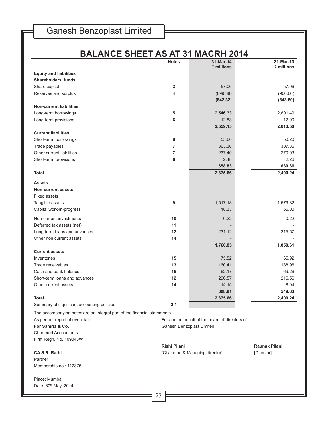# **BALANCE SHEET AS AT 31 MACRH 2014**

|                                                                          | <b>Notes</b>              | 31-Mar-14<br>$\bar{z}$ millions                | 31-Mar-13<br>$\bar{z}$ millions |  |
|--------------------------------------------------------------------------|---------------------------|------------------------------------------------|---------------------------------|--|
| <b>Equity and liabilities</b>                                            |                           |                                                |                                 |  |
| Shareholders' funds                                                      |                           |                                                |                                 |  |
| Share capital                                                            | 3                         | 57.06                                          | 57.06                           |  |
| Reserves and surplus                                                     | 4                         | (899.38)                                       | (900.66)                        |  |
|                                                                          |                           | (842.32)                                       | (843.60)                        |  |
| <b>Non-current liabilities</b>                                           |                           |                                                |                                 |  |
| Long-term borrowings                                                     | 5                         | 2,546.33                                       | 2,601.49                        |  |
| Long-term provisions                                                     | 6                         | 12.83                                          | 12.00                           |  |
|                                                                          |                           | 2,559.15                                       | 2,613.50                        |  |
| <b>Current liabilities</b>                                               |                           |                                                |                                 |  |
| Short-term borrowings                                                    | 8                         | 55.60                                          | 50.20                           |  |
| Trade payables                                                           | $\overline{7}$            | 363.36                                         | 307.86                          |  |
| Other current liabilities                                                | $\overline{7}$            | 237.40                                         | 270.03                          |  |
| Short-term provisions                                                    | 6                         | 2.48                                           | 2.26                            |  |
|                                                                          |                           | 658.83                                         | 630.36                          |  |
| <b>Total</b>                                                             |                           | 2,375.66                                       | 2,400.24                        |  |
| <b>Assets</b>                                                            |                           |                                                |                                 |  |
| <b>Non-current assets</b>                                                |                           |                                                |                                 |  |
| <b>Fixed assets</b>                                                      |                           |                                                |                                 |  |
| Tangible assets                                                          | 9                         | 1,517.18                                       | 1,579.82                        |  |
| Capital work-in-progress                                                 |                           | 18.33                                          | 55.00                           |  |
|                                                                          |                           |                                                |                                 |  |
| Non-current investments                                                  | 10<br>11                  | 0.22                                           | 0.22                            |  |
| Deferred tax assets (net)                                                |                           |                                                |                                 |  |
| Long-term loans and advances                                             | 12                        | 231.12                                         | 215.57                          |  |
| Other non current assets                                                 | 14                        |                                                |                                 |  |
| <b>Current assets</b>                                                    |                           | 1,766.85                                       | 1,850.61                        |  |
| Inventories                                                              | 15                        | 75.52                                          | 65.92                           |  |
| Trade receivables                                                        | 13                        | 160.41                                         | 188.96                          |  |
| Cash and bank balances                                                   | 16                        | 62.17                                          | 69.26                           |  |
| Short-term loans and advances                                            | 12                        | 296.57                                         | 216.56                          |  |
| Other current assets                                                     | 14                        | 14.15                                          | 8.94                            |  |
|                                                                          |                           | 608.81                                         | 549.63                          |  |
| <b>Total</b>                                                             |                           | 2,375.66                                       | 2,400.24                        |  |
| Summary of significant accounting policies                               | 2.1                       |                                                |                                 |  |
| The accompanying notes are an integral part of the financial statements. |                           |                                                |                                 |  |
| As per our report of even date                                           |                           | For and on behalf of the board of directors of |                                 |  |
| For Samria & Co.                                                         | Ganesh Benzoplast Limited |                                                |                                 |  |
| <b>Chartered Accountants</b>                                             |                           |                                                |                                 |  |
| Firm Regn. No. 109043W                                                   |                           |                                                |                                 |  |
|                                                                          | Rishi Pilani              |                                                | <b>Raunak Pilani</b>            |  |

**CA S.R. Rathi** [Chairman & Managing director] [Director] [Director] Partner

Membership no.: 112376

Place: Mumbai Date: 30th May, 2014

22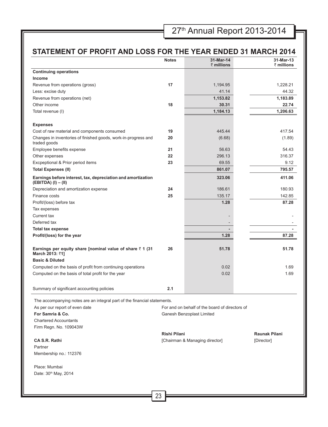### **STATEMENT OF PROFIT AND LOSS FOR THE YEAR ENDED 31 MARCH 2014 Notes 31-Mar-14** ` **millions 31-Mar-13** ` **millions Continuing operations Income** Revenue from operations (gross) **17** 17 1,194.95 1,228.21 Less: excise duty 41.14 44.32 Revenue from operations (net) **1,183.89** 1,183.89 Other income **18 30.31 22.74** Total revenue (I) **1,184.13 1,206.63 Expenses** Cost of raw material and components consumed **19 19** 445.44 **417.54 417.54** Changes in inventories of finished goods, work-in-progress and traded goods **20** (6.68) (1.89) Employee benefits expense **21** 56.63 54.43 **Other expenses 22** 296.13 316.37 Excpeptional & Prior period items **23** 69.55 9.12 **Total Expenses (II) 861.07** 861.07 861.07 861.07 861.07 861.07 861.07 861.07 861.07 861.07 861.07 8795.57 **Earnings before interest, tax, depreciation and amortization (EBITDA) (I) – (II) 323.06 411.06** Depreciation and amortization expense **24** 186.61 180.93 Finance costs **25** 135.17 142.85 Profit/(loss) before tax **1.28 87.28** Tax expenses Current tax - - Deferred tax - - **Total tax expense Profit/(loss) for the year 1.28 87.28 Earnings per equity share [nominal value of share** ` **1 (31 March 2013:** `**1] 26 51.78 51.78 Basic & Diluted** Computed on the basis of profit from continuing operations 0.02 0.02 1.69 Computed on the basis of total profit for the year 0.02 1.69 Summary of significant accounting policies **2.1** The accompanying notes are an integral part of the financial statements. As per our report of even date For and on behalf of the board of directors of For Samria & Co. **For Samria & Co.** Ganesh Benzoplast Limited Chartered Accountants Firm Regn. No. 109043W **Rishi Pilani Raunak Pilani CA S.R. Rathi** [Chairman & Managing director] [Director] [Director] Partner Membership no.: 112376 Place: Mumbai Date: 30<sup>th</sup> May, 2014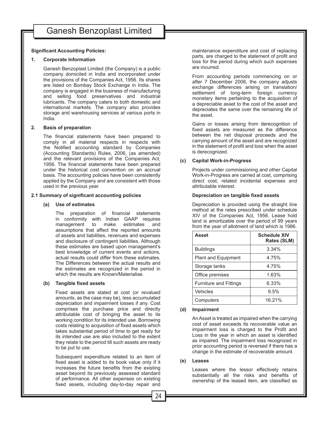### **Significant Accounting Policies:**

### **1. Corporate Information**

Ganesh Benzoplast Limited (the Company) is a public company domiciled in India and incorporated under the provisions of the Companies Act, 1956. Its shares are listed on Bombay Stock Exchange in India. The company is engaged in the business of manufacturing and selling food preservatives and industrial lubricants. The company caters to both domestic and international markets. The company also provides storage and warehousing services at various ports in India.

### **2. Basis of preparation**

The financial statements have been prepared to comply in all material respects in respects with the Notified accounting standard by Companies (Accounting Standards) Rules, 2006, (as amended) and the relevant provisions of the Companies Act, 1956. The financial statements have been prepared under the historical cost convention on an accrual basis. The accounting policies have been consistently applied by the Company and are consistent with those used in the previous year.

### **2.1 Summary of significant accounting policies**

### **(a) Use of estimates**

The preparation of financial statements in conformity with Indian GAAP requires management to make estimates and assumptions that affect the reported amounts of assets and liabilities, revenues and expenses and disclosure of contingent liabilities. Although these estimates are based upon management's best knowledge of current events and actions, actual results could differ from these estimates. The Differences between the actual results and the estimates are recognized in the period in which the results are Known/Materialise.

### **(b) Tangible fixed assets**

Fixed assets are stated at cost (or revalued amounts, as the case may be), less accumulated depreciation and impairment losses if any. Cost comprises the purchase price and directly attributable cost of bringing the asset to its working condition for its intended use. Borrowing costs relating to acquisition of fixed assets which takes substantial period of time to get ready for its intended use are also included to the extent they relate to the period till such assets are ready to be put to use.

Subsequent expenditure related to an item of fixed asset is added to its book value only if it increases the future benefits from the existing asset beyond its previously assessed standard of performance. All other expenses on existing fixed assets, including day-to-day repair and

maintenance expenditure and cost of replacing parts, are charged to the statement of profit and loss for the period during which such expenses are incurred.

From accounting periods commencing on or after 7 December 2006, the company adjusts exchange differences arising on translation/ settlement of long-term foreign currency monetary items pertaining to the acquisition of a depreciable asset to the cost of the asset and depreciates the same over the remaining life of the asset.

Gains or losses arising from derecognition of fixed assets are measured as the difference between the net disposal proceeds and the carrying amount of the asset and are recognized in the statement of profit and loss when the asset is derecognized.

### **(c) Capital Work-in-Progress**

Projects under commissioning and other Capital Work-in-Progress are carried at cost, comprising direct cost, related incidental expenses and attributable interest.

### **Depreciation on tangible fixed assets**

Depreciation is provided using the straight line method at the rates prescribed under schedule XIV of the Companies Act, 1956. Lease hold land is amortizable over the period of 99 years from the year of allotment of land which is 1986.

| <b>Asset</b>                  | <b>Schedule XIV</b><br>Rates (SLM) |
|-------------------------------|------------------------------------|
| <b>Buildings</b>              | 3.34%                              |
| <b>Plant and Equipment</b>    | 4.75%                              |
| Storage tanks                 | 4.75%                              |
| Office premises               | 1.63%                              |
| <b>Furniture and Fittings</b> | 6.33%                              |
| Vehicles                      | 9.5%                               |
| Computers                     | 16.21%                             |

### **(d) Impairment**

An Asset is treated as impaired when the carrying cost of asset exceeds its recoverable value an impairment loss is charged to the Profit and Loss in the year in which an asset is identified as impaired. The impairment loss recognized in prior accounting period is reversed if there has a change in the estimate of recoverable amount.

### **(e) Leases**

Leases where the lessor effectively retains substantially all the risks and benefits of ownership of the leased item, are classified as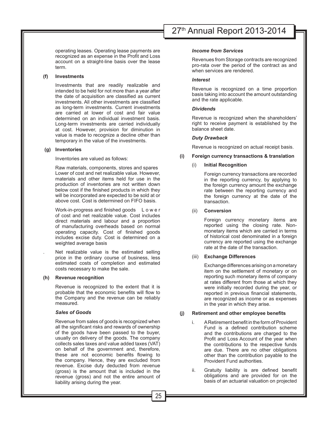operating leases. Operating lease payments are recognized as an expense in the Profit and Loss account on a straight-line basis over the lease term.

### **(f) Investments**

Investments that are readily realizable and intended to be held for not more than a year after the date of acquisition are classified as current investments. All other investments are classified as long-term investments. Current investments are carried at lower of cost and fair value determined on an individual investment basis. Long-term investments are carried individually at cost. However, provision for diminution in value is made to recognize a decline other than temporary in the value of the investments.

### **(g) Inventories**

Inventories are valued as follows:

Raw materials, components, stores and spares Lower of cost and net realizable value. However, materials and other items held for use in the production of inventories are not written down below cost if the finished products in which they will be incorporated are expected to be sold at or above cost. Cost is determined on FIFO basis.

Work-in-progress and finished goods L o w e r of cost and net realizable value. Cost includes direct materials and labour and a proportion of manufacturing overheads based on normal operating capacity. Cost of finished goods includes excise duty. Cost is determined on a weighted average basis

. Net realizable value is the estimated selling price in the ordinary course of business, less estimated costs of completion and estimated costs necessary to make the sale.

### **(h) Revenue recognition**

Revenue is recognized to the extent that it is probable that the economic benefits will flow to the Company and the revenue can be reliably measured.

### *Sales of Goods*

Revenue from sales of goods is recognized when all the significant risks and rewards of ownership of the goods have been passed to the buyer, usually on delivery of the goods. The company collects sales taxes and value added taxes (VAT) on behalf of the government and, therefore, these are not economic benefits flowing to the company. Hence, they are excluded from revenue. Excise duty deducted from revenue (gross) is the amount that is included in the revenue (gross) and not the entire amount of liability arising during the year.

### *Income from Services*

Revenues from Storage contracts are recognized pro-rata over the period of the contract as and when services are rendered.

### *Interest*

Revenue is recognized on a time proportion basis taking into account the amount outstanding and the rate applicable.

### *Dividends*

Revenue is recognized when the shareholders' right to receive payment is established by the balance sheet date.

### *Duty Drawback*

Revenue is recognized on actual receipt basis.

**(i) Foreign currency transactions & translation**

### (i) **Initial Recognition**

Foreign currency transactions are recorded in the reporting currency, by applying to the foreign currency amount the exchange rate between the reporting currency and the foreign currency at the date of the transaction.

### (ii) **Conversion**

Foreign currency monetary items are reported using the closing rate. Nonmonetary items which are carried in terms of historical cost denominated in a foreign currency are reported using the exchange rate at the date of the transaction.

### (iii) **Exchange Differences**

Exchange differences arising on a monetary item on the settlement of monetary or on reporting such monetary items of company at rates different from those at which they were initially recorded during the year, or reported in previous financial statements, are recognized as income or as expenses in the year in which they arise.

### **(j) Retirement and other employee benefits**

- i. A Retirement benefit in the form of Provident Fund is a defined contribution scheme and the contributions are charged to the Profit and Loss Account of the year when the contributions to the respective funds are due. There are no other obligations other than the contribution payable to the Provident Fund authorities.
- ii. Gratuity liability is are defined benefit obligations and are provided for on the basis of an actuarial valuation on projected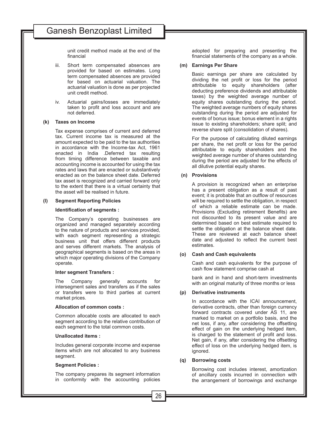### Ganesh Benzoplast Limited

unit credit method made at the end of the financial

- iii. Short term compensated absences are provided for based on estimates. Long term compensated absences are provided for based on actuarial valuation. The actuarial valuation is done as per projected unit credit method.
- iv. Actuarial gains/losses are immediately taken to profit and loss account and are not deferred.

### **(k) Taxes on Income**

Tax expense comprises of current and deferred tax. Current income tax is measured at the amount expected to be paid to the tax authorities in accordance with the Income-tax Act, 1961 enacted in India .Deferred tax resulting from timing difference between taxable and accounting income is accounted for using the tax rates and laws that are enacted or substantively enacted as on the balance sheet date. Deferred tax asset is recognized and carried forward only to the extent that there is a virtual certainty that the asset will be realised in future.

### **(l) Segment Reporting Policies**

### **Identification of segments :**

The Company's operating businesses are organized and managed separately according to the nature of products and services provided, with each segment representing a strategic business unit that offers different products and serves different markets. The analysis of geographical segments is based on the areas in which major operating divisions of the Company operate.

### **Inter segment Transfers :**

The Company generally accounts for intersegment sales and transfers as if the sales or transfers were to third parties at current market prices.

### **Allocation of common costs :**

Common allocable costs are allocated to each segment according to the relative contribution of each segment to the total common costs.

### **Unallocated items :**

Includes general corporate income and expense items which are not allocated to any business segment.

### **Segment Policies :**

The company prepares its segment information in conformity with the accounting policies

adopted for preparing and presenting the financial statements of the company as a whole.

### **(m) Earnings Per Share**

Basic earnings per share are calculated by dividing the net profit or loss for the period attributable to equity shareholders (after deducting preference dividends and attributable taxes) by the weighted average number of equity shares outstanding during the period. The weighted average numbers of equity shares outstanding during the period are adjusted for events of bonus issue; bonus element in a rights issue to existing shareholders; share split; and reverse share split (consolidation of shares).

For the purpose of calculating diluted earnings per share, the net profit or loss for the period attributable to equity shareholders and the weighted average number of shares outstanding during the period are adjusted for the effects of all dilutive potential equity shares.

### **(n) Provisions**

A provision is recognized when an enterprise has a present obligation as a result of past event; it is probable that an outflow of resources will be required to settle the obligation, in respect of which a reliable estimate can be made. Provisions (Excluding retirement Benefits) are not discounted to its present value and are determined based on best estimate required to settle the obligation at the balance sheet date. These are reviewed at each balance sheet date and adjusted to reflect the current best estimates.

### **(o) Cash and Cash equivalents**

Cash and cash equivalents for the purpose of cash flow statement comprise cash at

bank and in hand and short-term investments with an original maturity of three months or less

### **(p) Derivative instruments**

In accordance with the ICAI announcement, derivative contracts, other than foreign currency forward contracts covered under AS 11, are marked to market on a portfolio basis, and the net loss, if any, after considering the offsetting effect of gain on the underlying hedged item, is charged to the statement of profit and loss. Net gain, if any, after considering the offsetting effect of loss on the underlying hedged item, is ignored.

### **(q) Borrowing costs**

Borrowing cost includes interest, amortization of ancillary costs incurred in connection with the arrangement of borrowings and exchange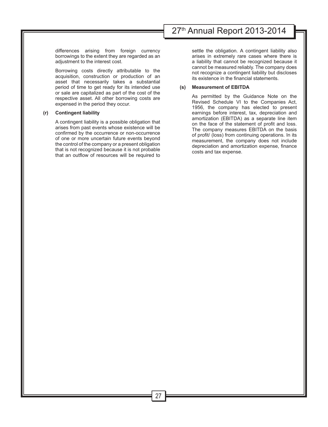differences arising from foreign currency borrowings to the extent they are regarded as an adjustment to the interest cost.

Borrowing costs directly attributable to the acquisition, construction or production of an asset that necessarily takes a substantial period of time to get ready for its intended use or sale are capitalized as part of the cost of the respective asset. All other borrowing costs are expensed in the period they occur.

### **(r) Contingent liability**

A contingent liability is a possible obligation that arises from past events whose existence will be confirmed by the occurrence or non-occurrence of one or more uncertain future events beyond the control of the company or a present obligation that is not recognized because it is not probable that an outflow of resources will be required to

settle the obligation. A contingent liability also arises in extremely rare cases where there is a liability that cannot be recognized because it cannot be measured reliably. The company does not recognize a contingent liability but discloses its existence in the financial statements.

### **(s) Measurement of EBITDA**

As permitted by the Guidance Note on the Revised Schedule VI to the Companies Act, 1956, the company has elected to present earnings before interest, tax, depreciation and amortization (EBITDA) as a separate line item on the face of the statement of profit and loss. The company measures EBITDA on the basis of profit/ (loss) from continuing operations. In its measurement, the company does not include depreciation and amortization expense, finance costs and tax expense.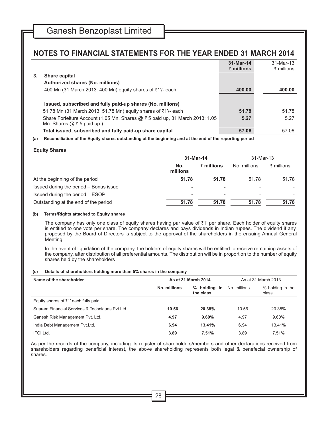|    |                                                                                         | 31-Mar-14<br>$\bar{\tau}$ millions | 31-Mar-13<br>₹ millions |
|----|-----------------------------------------------------------------------------------------|------------------------------------|-------------------------|
| 3. | Share capital                                                                           |                                    |                         |
|    | Authorized shares (No. millions)                                                        |                                    |                         |
|    | 400 Mn (31 March 2013: 400 Mn) equity shares of ₹17- each                               | 400.00                             | 400.00                  |
|    |                                                                                         |                                    |                         |
|    | Issued, subscribed and fully paid-up shares (No. millions)                              |                                    |                         |
|    | 51.78 Mn (31 March 2013: 51.78 Mn) equity shares of ₹17- each                           | 51.78                              | 51.78                   |
|    | Share Forfeiture Account (1.05 Mn. Shares @ $\bar{\tau}$ 5 paid up. 31 March 2013: 1.05 | 5.27                               | 5.27                    |
|    | Mn. Shares $@ \overline{\smash{\mathcal{R}}} 5$ paid up.)                               |                                    |                         |
|    | Total issued, subscribed and fully paid-up share capital                                | 57.06                              | 57.06                   |

**(a) Reconciliation of the Equity shares outstanding at the beginning and at the end of the reporting period**

### **Equity Shares**

|                                        |                 | 31-Mar-14          |                          | 31-Mar-13  |
|----------------------------------------|-----------------|--------------------|--------------------------|------------|
|                                        | No.<br>millions | $\bar{z}$ millions | No. millions             | ₹ millions |
| At the beginning of the period         | 51.78           | 51.78              | 51.78                    | 51.78      |
| Issued during the period - Bonus issue | ۰               | ۰                  |                          |            |
| Issued during the period - ESOP        | ۰               |                    | $\overline{\phantom{0}}$ |            |
| Outstanding at the end of the period   | 51.78           | 51.78              | 51.78                    | 51.78      |

### **(b) Terms/Rights attached to Equity shares**

The company has only one class of equity shares having par value of  $\bar{\tau}$ 1' per share. Each holder of equity shares is entitled to one vote per share. The company declares and pays dividends in Indian rupees. The dividend if any, proposed by the Board of Directors is subject to the approval of the shareholders in the ensuing Annual General Meeting.

In the event of liquidation of the company, the holders of equity shares will be entitled to receive remaining assets of the company, after distribution of all preferential amounts. The distribution will be in proportion to the number of equity shares held by the shareholders

### **(c) Details of shareholders holding more than 5% shares in the company**

| Name of the shareholder                         |              | As at 31 March 2014       | As at 31 March 2013 |                           |  |
|-------------------------------------------------|--------------|---------------------------|---------------------|---------------------------|--|
|                                                 | No. millions | % holding in<br>the class | No. millions        | % holding in the<br>class |  |
| Equity shares of ₹1' each fully paid            |              |                           |                     |                           |  |
| Suaram Financial Services & Techniques Pvt.Ltd. | 10.56        | 20.38%                    | 10.56               | 20.38%                    |  |
| Ganesh Risk Management Pvt. Ltd.                | 4.97         | 9.60%                     | 4.97                | 9.60%                     |  |
| India Debt Management Pvt.Ltd.                  | 6.94         | 13.41%                    | 6.94                | 13.41%                    |  |
| IFCI Ltd.                                       | 3.89         | 7.51%                     | 3.89                | 7.51%                     |  |

As per the records of the company, including its register of shareholders/members and other declarations received from shareholders regarding beneficial interest, the above shareholding represents both legal & benefecial ownership of shares.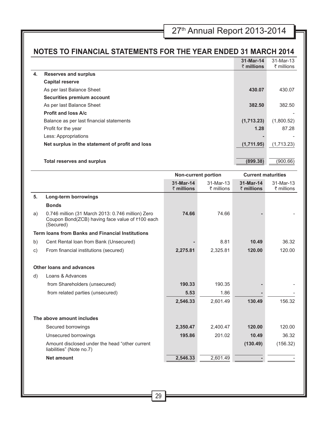|    |                                                 | 31-Mar-14<br>$\bar{z}$ millions | 31-Mar-13<br>₹ millions |
|----|-------------------------------------------------|---------------------------------|-------------------------|
| 4. | <b>Reserves and surplus</b>                     |                                 |                         |
|    | <b>Capital reserve</b>                          |                                 |                         |
|    | As per last Balance Sheet                       | 430.07                          | 430.07                  |
|    | Securities premium account                      |                                 |                         |
|    | As per last Balance Sheet                       | 382.50                          | 382.50                  |
|    | <b>Profit and loss A/c.</b>                     |                                 |                         |
|    | Balance as per last financial statements        | (1,713.23)                      | (1,800.52)              |
|    | Profit for the year                             | 1.28                            | 87.28                   |
|    | Less: Appropriations                            |                                 |                         |
|    | Net surplus in the statement of profit and loss | (1,711.95)                      | (1,713.23)              |
|    |                                                 |                                 |                         |
|    | <b>Total reserves and surplus</b>               | (899.38)                        | (900.66)                |

|    |                                                                                                                   | Non-current portion             |                                    |                                 | <b>Current maturities</b>          |  |
|----|-------------------------------------------------------------------------------------------------------------------|---------------------------------|------------------------------------|---------------------------------|------------------------------------|--|
|    |                                                                                                                   | 31-Mar-14<br>$\bar{z}$ millions | 31-Mar-13<br>$\bar{\tau}$ millions | 31-Mar-14<br>$\bar{z}$ millions | 31-Mar-13<br>$\bar{\tau}$ millions |  |
| 5. | Long-term borrowings                                                                                              |                                 |                                    |                                 |                                    |  |
|    | <b>Bonds</b>                                                                                                      |                                 |                                    |                                 |                                    |  |
| a) | 0.746 million (31 March 2013: 0.746 million) Zero<br>Coupon Bond(ZCB) having face value of ₹100 each<br>(Secured) | 74.66                           | 74.66                              |                                 |                                    |  |
|    | <b>Term loans from Banks and Financial Institutions</b>                                                           |                                 |                                    |                                 |                                    |  |
| b) | Cent Rental Ioan from Bank (Unsecured)                                                                            |                                 | 8.81                               | 10.49                           | 36.32                              |  |
| C) | From financial institutions (secured)                                                                             | 2,275.81                        | 2,325.81                           | 120.00                          | 120.00                             |  |
|    | Other loans and advances                                                                                          |                                 |                                    |                                 |                                    |  |
| d) | Loans & Advances                                                                                                  |                                 |                                    |                                 |                                    |  |
|    | from Shareholders (unsecured)                                                                                     | 190.33                          | 190.35                             |                                 |                                    |  |
|    | from related parties (unsecured)                                                                                  | 5.53                            | 1.86                               |                                 |                                    |  |
|    |                                                                                                                   | 2,546.33                        | 2.601.49                           | 130.49                          | 156.32                             |  |
|    | The above amount includes                                                                                         |                                 |                                    |                                 |                                    |  |
|    | Secured borrowings                                                                                                | 2,350.47                        | 2.400.47                           | 120.00                          | 120.00                             |  |
|    | Unsecured borrowings                                                                                              | 195.86                          | 201.02                             | 10.49                           | 36.32                              |  |
|    | Amount disclosed under the head "other current"<br>liabilities" (Note no.7)                                       |                                 |                                    | (130.49)                        | (156.32)                           |  |
|    | Net amount                                                                                                        | 2,546.33                        | 2,601.49                           |                                 |                                    |  |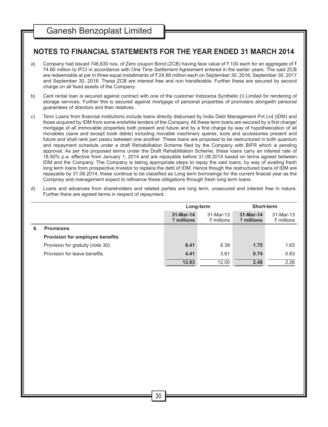- a) Company had issued 746,630 nos. of Zero coupon Bond (ZCB) having face value of  $\bar{z}$  100 each for an aggregate of  $\bar{z}$ 74.66 million to IFCI in accordance with One Time Settlement Agreement entered in the earlier years. The said ZCB are redeemable at par in three equal installments of ₹ 24.88 million each on September 30, 2016, September 30, 2017 and September 30, 2018. These ZCB are interest free and non transferable. Further these are secured by second charge on all fixed assets of the Company.
- b) Cent rental loan is secured against contract with one of the customer Indorama Synthetic (I) Limited for rendering of storage services. Further this is secured against mortgage of personal properties of promoters alongwith personal guarantees of directors and their relatives.
- c) Term Loans from financial institutions include loans directly disbursed by India Debt Management Pvt Lrd (IDM) and those acquired by IDM from some erstwhile lenders of the Company. All these term loans are secured by a first charge/ mortgage of all immovable properties both present and future and by a first charge by way of hypotheecation of all movables (save and except book debts) including movable machinery spares, tools and accessories present and future and shall rank pari passu between one another. These loans are proposed to be restructured in both quantum and repayment schedule under a draft Rehabilitation Scheme filed by the Company with BIFR which is pending approval. As per the proposed terms under the Draft Rehabilitation Scheme, these loans carry an interest rate of 18.50% p.a. effective from January 1, 2014 and are repayable before 31.08.2014 based on terms agreed between IDM and the Company. The Company is taking appropriate steps to repay the said loans, by way of availing fresh long term loans from prospective investor to replace the debt of IDM. Hence though the restructured loans of IDM are repayable by 31.08.2014, these continue to be classified as Long term borrowings for the current finacial year as the Compnay and management expect to refinance these obligations through fresh long term loans.
- d) Loans and advances from shareholders and related parties are long term, unsecured and interest free in nature. Further there are agreed terms in respect of repayment.

|    |                                        |                                 | Long-term                 |                                 | Short-term              |
|----|----------------------------------------|---------------------------------|---------------------------|---------------------------------|-------------------------|
|    |                                        | 31-Mar-14<br>$\bar{z}$ millions | $31-Mar-13$<br>₹ millions | 31-Mar-14<br>$\bar{z}$ millions | 31-Mar-13<br>₹ millions |
| 6. | <b>Provisions</b>                      |                                 |                           |                                 |                         |
|    | <b>Provision for employee benefits</b> |                                 |                           |                                 |                         |
|    | Provision for gratuity (note 30)       | 8.41                            | 8.39                      | 1.75                            | 1.63                    |
|    | Provision for leave benefits           | 4.41                            | 3.61                      | 0.74                            | 0.63                    |
|    |                                        | 12.83                           | 12.00                     | 2.48                            | 2.26                    |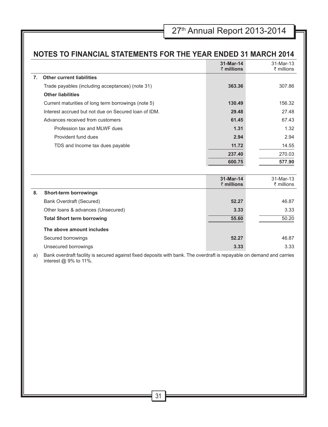|    |                                                      | 31-Mar-14<br>$\bar{z}$ millions | 31-Mar-13<br>₹ millions |
|----|------------------------------------------------------|---------------------------------|-------------------------|
| 7. | <b>Other current liabilities</b>                     |                                 |                         |
|    | Trade payables (including acceptances) (note 31)     | 363.36                          | 307.86                  |
|    | <b>Other liabilities</b>                             |                                 |                         |
|    | Current maturities of long term borrowings (note 5)  | 130.49                          | 156.32                  |
|    | Interest accrued but not due on Secured Joan of IDM. | 29.48                           | 27.48                   |
|    | Advances received from customers                     | 61.45                           | 67.43                   |
|    | Profession tax and MLWF dues                         | 1.31                            | 1.32                    |
|    | Provident fund dues                                  | 2.94                            | 2.94                    |
|    | TDS and Income tax dues payable                      | 11.72                           | 14.55                   |
|    |                                                      | 237.40                          | 270.03                  |
|    |                                                      | 600.75                          | 577.90                  |
|    |                                                      |                                 |                         |
|    |                                                      | 31-Mar-14<br>$\bar{z}$ millions | 31-Mar-13<br>₹ millions |
| 8. | <b>Short-term borrowings</b>                         |                                 |                         |
|    | Bank Overdraft (Secured)                             | 52.27                           | 46.87                   |
|    | Other loans & advances (Unsecured)                   | 3.33                            | 3.33                    |

| <b>Total Short term borrowing</b> | 55.60 | 50.20 |
|-----------------------------------|-------|-------|
| The above amount includes         |       |       |
| Secured borrowings                | 52.27 | 46.87 |
| Unsecured borrowings              | 3.33  | 3.33  |

a) Bank overdraft facility is secured against fixed deposits with bank. The overdraft is repayable on demand and carries interest @ 9% to 11%.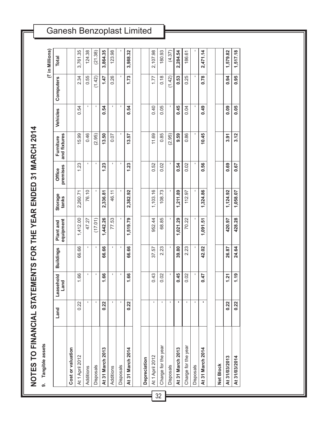| Tangible assets<br>တဲ |      |                   |                  |                        |                  |                    |                           |              |           | (₹ in Millions) |
|-----------------------|------|-------------------|------------------|------------------------|------------------|--------------------|---------------------------|--------------|-----------|-----------------|
|                       | Land | Leasehold<br>Land | <b>Buildings</b> | equipment<br>Plant and | Storage<br>tanks | premises<br>Office | and fixtures<br>Furniture | Vehicles     | Computers | Total           |
| Cost or valuation     |      |                   |                  |                        |                  |                    |                           |              |           |                 |
| At 1 April 2012       | 0.22 | 1.66              | 66.66            | 1,412.00               | 2,260.71         | 1.23               | 15.99                     | 54<br>ö      | 2.34      | 3,761.35        |
| Additions             |      | T.                | $\mathbf{I}$     | 47.27                  | 76.10            | T.                 | 0.46                      | $\mathbf{I}$ | 0.55      | 124.38          |
| <b>Disposals</b>      |      | $\mathbf{I}$      |                  | (17.01)                |                  | $\mathbf{I}$       | (2.95)                    |              | (1.42)    | (21.38)         |
| At 31 March 2013      | 0.22 | 1.66              | 66.66            | 1,442.26               | 2,336.81         | 1.23               | 13.50                     | 0.54         | 1.47      | 3,864.35        |
| Additions             |      | $\mathbf{I}$      |                  | 77.53                  | 46.11            | $\mathbf{I}$       | 0.07                      | $\mathbf{I}$ | 0.26      | 123.98          |
| <b>Disposals</b>      |      | $\mathbf{I}$      |                  | ı                      |                  | ı                  | ı                         | ı            |           |                 |
| At 31 March 2014      | 0.22 | 1.66              | 66.66            | 1,519.79               | 2,382.92         | 1.23               | 13.57                     | 0.54         | 1.73      | 3,988.32        |
| Depreciation          |      |                   |                  |                        |                  |                    |                           |              |           |                 |
| At 1 April 2012       | ı    | 0.43              | 37.57            | 952.44                 | 1,103.16         | 0.52               | 11.69                     | 0.40         | 1.77      | 2,107.98        |
| Charge for the year   |      | 0.02              | 2.23             | 68.85                  | 108.73           | 0.02               | 0.85                      | 0.05         | 0.18      | 180.93          |
| <b>Disposals</b>      | J,   | $\mathbf{r}$      |                  | $\blacksquare$         |                  | $\mathbf{r}$       | (2.95)                    | ×            | (1.42)    | (4.37)          |
| At 31 March 2013      | ٠    | 0.45              | 39.80            | 1,021.29               | 1,211.89         | 0.54               | 9.59                      | 0.45         | 0.53      | 2,284.54        |
| Charge for the year   |      | 0.02              | 2.23             | 70.22                  | 112.97           | 0.02               | 0.86                      | 0.04         | 0.25      | 186.61          |
| <b>Disposals</b>      |      | $\mathbf{I}$      |                  |                        |                  | $\mathbf{I}$       |                           |              |           |                 |
| At 31 March 2014      | ٠    | 0.47              | 42.02            | 1,091.51               | 1,324.86         | 0.56               | 10.45                     | 64.0         | 0.78      | 2,471.14        |
|                       |      |                   |                  |                        |                  |                    |                           |              |           |                 |
| Net Block             |      |                   |                  |                        |                  |                    |                           |              |           |                 |
| At 31/03/2013         | 0.22 | 1.21              | 26.87            | 420.97                 | 1,124.92         | 0.69               | 3.91                      | 0.09         | 0.94      | 1,579.82        |
| At 31/03/2014         | 0.22 | 1.19              | 24.64            | 428.28                 | 1,058.07         | 0.67               | 3.12                      | 0.05         | 0.95      | 1,517.18        |

Ganesh Benzoplast Limited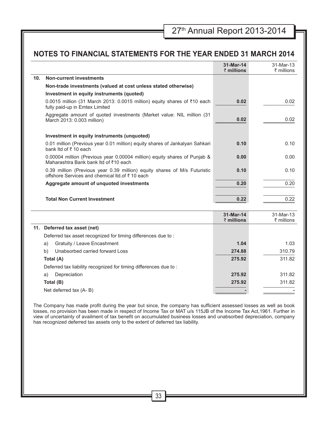|     |                                                                                                                             | 31-Mar-14<br>$\bar{z}$ millions | 31-Mar-13<br>$\bar{\tau}$ millions |
|-----|-----------------------------------------------------------------------------------------------------------------------------|---------------------------------|------------------------------------|
| 10. | <b>Non-current investments</b>                                                                                              |                                 |                                    |
|     | Non-trade investments (valued at cost unless stated otherwise)                                                              |                                 |                                    |
|     | Investment in equity instruments (quoted)                                                                                   |                                 |                                    |
|     | 0.0015 million (31 March 2013: 0.0015 million) equity shares of ₹10 each<br>fully paid-up in Emtex Limited                  | 0.02                            | 0.02                               |
|     | Aggregate amount of quoted investments (Market value: NIL million (31)<br>March 2013: 0.003 million)                        | 0.02                            | 0.02                               |
|     | Investment in equity instruments (unquoted)                                                                                 |                                 |                                    |
|     | 0.01 million (Previous year 0.01 million) equity shares of Jankalyan Sahkari<br>bank ltd of ₹10 each                        | 0.10                            | 0.10                               |
|     | 0.00004 million (Previous year 0.00004 million) equity shares of Punjab &<br>Maharashtra Bank bank ltd of ₹10 each          | 0.00                            | 0.00                               |
|     | 0.39 million (Previous year 0.39 million) equity shares of M/s Futuristic<br>offshore Services and chemical ltd of ₹10 each | 0.10                            | 0.10                               |
|     | Aggregate amount of unquoted investments                                                                                    | 0.20                            | 0.20                               |
|     | <b>Total Non Current Investment</b>                                                                                         | 0.22                            | 0.22                               |
|     |                                                                                                                             | 31-Mar-14<br>$\bar{z}$ millions | 31-Mar-13<br>$\bar{\tau}$ millions |
|     | 11. Deferred tax asset (net)                                                                                                |                                 |                                    |
|     | Deferred tax asset recognized for timing differences due to:                                                                |                                 |                                    |
|     | Gratuity / Leave Encashment<br>a)                                                                                           | 1.04                            | 1.03                               |
|     | Unabsorbed carried forward Loss<br>b)                                                                                       | 274.88                          | 310.79                             |
|     | Total (A)                                                                                                                   | 275.92                          | 311.82                             |
|     | Deferred tax liability recognized for timing differences due to:                                                            |                                 |                                    |

### a) Depreciation **275.92** 311.82 **Total (B) 275.92** 311.82 Net deferred tax (A- B) **-**  $\overline{\phantom{a}}$  -

The Company has made profit during the year but since, the company has sufficient assessed losses as well as book losses, no provision has been made in respect of Income Tax or MAT u/s 115JB of the Income Tax Act,1961. Further in view of uncertainty of availment of tax benefit on accumulated business losses and unabsorbed depreciation, company has recognized deferred tax assets only to the extent of deferred tax liability.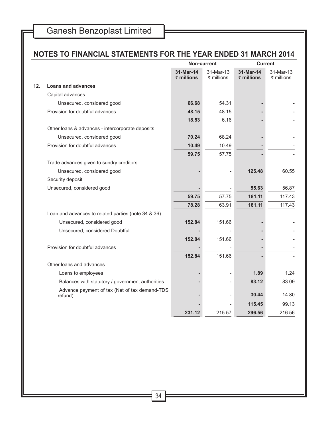Ganesh Benzoplast Limited

|     |                                                          | <b>Non-current</b>              |                         | <b>Current</b>                  |                                    |
|-----|----------------------------------------------------------|---------------------------------|-------------------------|---------------------------------|------------------------------------|
|     |                                                          | 31-Mar-14<br>$\bar{z}$ millions | 31-Mar-13<br>₹ millions | 31-Mar-14<br>$\bar{z}$ millions | 31-Mar-13<br>$\bar{\tau}$ millions |
| 12. | Loans and advances                                       |                                 |                         |                                 |                                    |
|     | Capital advances                                         |                                 |                         |                                 |                                    |
|     | Unsecured, considered good                               | 66.68                           | 54.31                   |                                 |                                    |
|     | Provision for doubtful advances                          | 48.15                           | 48.15                   |                                 |                                    |
|     |                                                          | 18.53                           | 6.16                    |                                 |                                    |
|     | Other loans & advances - intercorporate deposits         |                                 |                         |                                 |                                    |
|     | Unsecured, considered good                               | 70.24                           | 68.24                   |                                 |                                    |
|     | Provision for doubtful advances                          | 10.49                           | 10.49                   |                                 |                                    |
|     |                                                          | 59.75                           | 57.75                   |                                 |                                    |
|     | Trade advances given to sundry creditors                 |                                 |                         |                                 |                                    |
|     | Unsecured, considered good                               |                                 |                         | 125.48                          | 60.55                              |
|     | Security deposit                                         |                                 |                         |                                 |                                    |
|     | Unsecured, considered good                               |                                 |                         | 55.63                           | 56.87                              |
|     |                                                          | 59.75                           | 57.75                   | 181.11                          | 117.43                             |
|     |                                                          | 78.28                           | 63.91                   | 181.11                          | 117.43                             |
|     | Loan and advances to related parties (note 34 & 36)      |                                 |                         |                                 |                                    |
|     | Unsecured, considered good                               | 152.84                          | 151.66                  |                                 |                                    |
|     | Unsecured, considered Doubtful                           |                                 |                         |                                 |                                    |
|     |                                                          | 152.84                          | 151.66                  |                                 |                                    |
|     | Provision for doubtful advances                          |                                 |                         |                                 |                                    |
|     |                                                          | 152.84                          | 151.66                  |                                 |                                    |
|     | Other loans and advances                                 |                                 |                         |                                 |                                    |
|     | Loans to employees                                       |                                 |                         | 1.89                            | 1.24                               |
|     | Balances with statutory / government authorities         |                                 |                         | 83.12                           | 83.09                              |
|     | Advance payment of tax (Net of tax demand-TDS<br>refund) |                                 |                         | 30.44                           | 14.80                              |
|     |                                                          |                                 |                         | 115.45                          | 99.13                              |
|     |                                                          | 231.12                          | 215.57                  | 296.56                          | 216.56                             |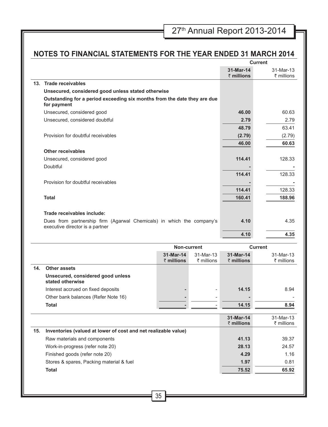|     |                                                                                                          |                                 |                         |                                 | <b>Current</b>                     |
|-----|----------------------------------------------------------------------------------------------------------|---------------------------------|-------------------------|---------------------------------|------------------------------------|
|     |                                                                                                          |                                 |                         | 31-Mar-14<br>$\bar{z}$ millions | 31-Mar-13<br>₹ millions            |
|     | 13. Trade receivables                                                                                    |                                 |                         |                                 |                                    |
|     | Unsecured, considered good unless stated otherwise                                                       |                                 |                         |                                 |                                    |
|     | Outstanding for a period exceeding six months from the date they are due<br>for payment                  |                                 |                         |                                 |                                    |
|     | Unsecured, considered good                                                                               |                                 |                         | 46.00                           | 60.63                              |
|     | Unsecured, considered doubtful                                                                           |                                 |                         | 2.79                            | 2.79                               |
|     |                                                                                                          |                                 |                         | 48.79                           | 63.41                              |
|     | Provision for doubtful receivables                                                                       |                                 |                         | (2.79)                          | (2.79)                             |
|     |                                                                                                          |                                 |                         | 46.00                           | 60.63                              |
|     | Other receivables                                                                                        |                                 |                         |                                 |                                    |
|     | Unsecured, considered good                                                                               |                                 |                         | 114.41                          | 128.33                             |
|     | Doubtful                                                                                                 |                                 |                         |                                 |                                    |
|     |                                                                                                          |                                 |                         | 114.41                          | 128.33                             |
|     | Provision for doubtful receivables                                                                       |                                 |                         |                                 |                                    |
|     |                                                                                                          |                                 |                         | 114.41                          | 128.33                             |
|     | <b>Total</b>                                                                                             |                                 |                         | 160.41                          | 188.96                             |
|     | Trade receivables include:                                                                               |                                 |                         |                                 |                                    |
|     | Dues from partnership firm (Agarwal Chemicals) in which the company's<br>executive director is a partner |                                 |                         | 4.10                            | 4.35                               |
|     |                                                                                                          |                                 |                         | 4.10                            | 4.35                               |
|     |                                                                                                          |                                 | Non-current             |                                 | <b>Current</b>                     |
|     |                                                                                                          | 31-Mar-14<br>$\bar{z}$ millions | 31-Mar-13<br>₹ millions | 31-Mar-14<br>$\bar{z}$ millions | 31-Mar-13<br>$\bar{\tau}$ millions |
| 14. | Other assets                                                                                             |                                 |                         |                                 |                                    |
|     | Unsecured, considered good unless<br>stated otherwise                                                    |                                 |                         |                                 |                                    |
|     | Interest accrued on fixed deposits                                                                       |                                 | $\overline{a}$          | 14.15                           | 8.94                               |
|     | Other bank balances (Refer Note 16)                                                                      |                                 |                         |                                 |                                    |
|     | Total                                                                                                    |                                 |                         | 14.15                           | 8.94                               |

|     |                                                                | 31-Mar-14<br>$\bar{z}$ millions | 31-Mar-13<br>₹ millions |
|-----|----------------------------------------------------------------|---------------------------------|-------------------------|
| 15. | Inventories (valued at lower of cost and net realizable value) |                                 |                         |
|     | Raw materials and components                                   | 41.13                           | 39.37                   |
|     | Work-in-progress (refer note 20)                               | 28.13                           | 24.57                   |
|     | Finished goods (refer note 20)                                 | 4.29                            | 1.16                    |
|     | Stores & spares, Packing material & fuel                       | 1.97                            | 0.81                    |
|     | Total                                                          | 75.52                           | 65.92                   |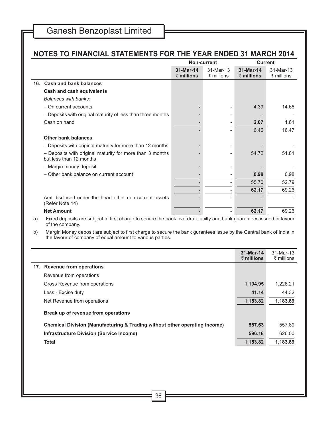|     |                                                                                     | Non-current                     |                         | <b>Current</b>                  |                         |
|-----|-------------------------------------------------------------------------------------|---------------------------------|-------------------------|---------------------------------|-------------------------|
|     |                                                                                     | 31-Mar-14<br>$\bar{z}$ millions | 31-Mar-13<br>₹ millions | 31-Mar-14<br>$\bar{z}$ millions | 31-Mar-13<br>₹ millions |
| 16. | Cash and bank balances                                                              |                                 |                         |                                 |                         |
|     | Cash and cash equivalents                                                           |                                 |                         |                                 |                         |
|     | Balances with banks:                                                                |                                 |                         |                                 |                         |
|     | $-$ On current accounts                                                             |                                 |                         | 4.39                            | 14.66                   |
|     | - Deposits with original maturity of less than three months                         |                                 |                         |                                 |                         |
|     | Cash on hand                                                                        |                                 |                         | 2.07                            | 1.81                    |
|     |                                                                                     |                                 |                         | 6.46                            | 16.47                   |
|     | Other bank balances                                                                 |                                 |                         |                                 |                         |
|     | - Deposits with original maturity for more than 12 months                           |                                 |                         |                                 |                         |
|     | - Deposits with original maturity for more than 3 months<br>but less than 12 months |                                 | $\overline{a}$          | 54.72                           | 51.81                   |
|     | - Margin money deposit                                                              |                                 |                         |                                 |                         |
|     | - Other bank balance on current account                                             |                                 |                         | 0.98                            | 0.98                    |
|     |                                                                                     |                                 |                         | 55.70                           | 52.79                   |
|     |                                                                                     |                                 |                         | 62.17                           | 69.26                   |
|     | Amt disclosed under the head other non current assets<br>(Refer Note 14)            |                                 |                         |                                 |                         |
|     | <b>Net Amount</b>                                                                   |                                 |                         | 62.17                           | 69.26                   |

a) Fixed deposits are subject to first charge to secure the bank overdraft facilty and bank guarantees issued in favour of the company.

b) Margin Money deposit are subject to first charge to secure the bank gurantees issue by the Central bank of India in the favour of company of equal amount to various parties.

|                                                                            | 31-Mar-14<br>$\bar{z}$ millions | 31-Mar-13<br>₹ millions |
|----------------------------------------------------------------------------|---------------------------------|-------------------------|
| 17. Revenue from operations                                                |                                 |                         |
| Revenue from operations                                                    |                                 |                         |
| Gross Revenue from operations                                              | 1,194.95                        | 1.228.21                |
| Less:- Excise duty                                                         | 41.14                           | 44.32                   |
| Net Revenue from operations                                                | 1,153.82                        | 1,183.89                |
| Break up of revenue from operations                                        |                                 |                         |
| Chemical Division (Manufacturing & Trading without other operating income) | 557.63                          | 557.89                  |
| Infrastructure Division (Service Income)                                   | 596.18                          | 626.00                  |
| <b>Total</b>                                                               | 1,153.82                        | 1,183.89                |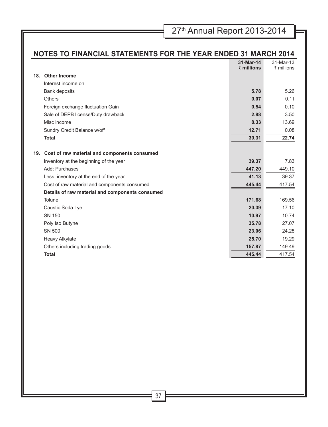27<sup>th</sup> Annual Report 2013-2014

|                                                  | 31-Mar-14<br>$\bar{z}$ millions | 31-Mar-13<br>$\bar{\tau}$ millions |
|--------------------------------------------------|---------------------------------|------------------------------------|
| 18. Other Income                                 |                                 |                                    |
| Interest income on                               |                                 |                                    |
| <b>Bank deposits</b>                             | 5.78                            | 5.26                               |
| <b>Others</b>                                    | 0.07                            | 0.11                               |
| Foreign exchange fluctuation Gain                | 0.54                            | 0.10                               |
| Sale of DEPB license/Duty drawback               | 2.88                            | 3.50                               |
| Misc income                                      | 8.33                            | 13.69                              |
| Sundry Credit Balance w/off                      | 12.71                           | 0.08                               |
| <b>Total</b>                                     | 30.31                           | 22.74                              |
|                                                  |                                 |                                    |
| 19. Cost of raw material and components consumed |                                 |                                    |
| Inventory at the beginning of the year           | 39.37                           | 7.83                               |
| Add: Purchases                                   | 447.20                          | 449.10                             |
| Less: inventory at the end of the year           | 41.13                           | 39.37                              |
| Cost of raw material and components consumed     | 445.44                          | 417.54                             |
| Details of raw material and components consumed  |                                 |                                    |
| Tolune                                           | 171.68                          | 169.56                             |
| Caustic Soda Lye                                 | 20.39                           | 17.10                              |
| SN 150                                           | 10.97                           | 10.74                              |
| Poly Iso Butyne                                  | 35.78                           | 27.07                              |
| SN 500                                           | 23.06                           | 24.28                              |
| Heavy Alkylate                                   | 25.70                           | 19.29                              |
| Others including trading goods                   | 157.87                          | 149.49                             |
| <b>Total</b>                                     | 445.44                          | 417.54                             |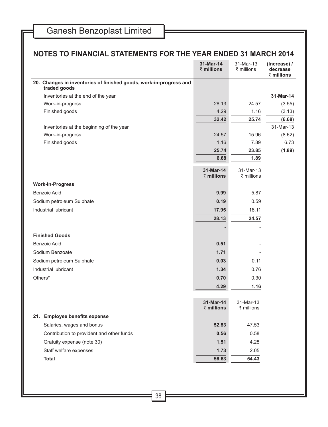|                                                                                    | 31-Mar-14<br>$\bar{z}$ millions | 31-Mar-13<br>₹ millions | (Increase) /<br>decrease<br>$\bar{z}$ millions |
|------------------------------------------------------------------------------------|---------------------------------|-------------------------|------------------------------------------------|
| 20. Changes in inventories of finished goods, work-in-progress and<br>traded goods |                                 |                         |                                                |
| Inventories at the end of the year                                                 |                                 |                         | 31-Mar-14                                      |
| Work-in-progress                                                                   | 28.13                           | 24.57                   | (3.55)                                         |
| Finished goods                                                                     | 4.29                            | 1.16                    | (3.13)                                         |
|                                                                                    | 32.42                           | 25.74                   | (6.68)                                         |
| Inventories at the beginning of the year                                           |                                 |                         | 31-Mar-13                                      |
| Work-in-progress                                                                   | 24.57                           | 15.96                   | (8.62)                                         |
| Finished goods                                                                     | 1.16                            | 7.89                    | 6.73                                           |
|                                                                                    | 25.74                           | 23.85                   | (1.89)                                         |
|                                                                                    | 6.68                            | 1.89                    |                                                |
|                                                                                    | 31-Mar-14<br>₹ millions         | 31-Mar-13<br>₹ millions |                                                |
| <b>Work-in-Progress</b>                                                            |                                 |                         |                                                |
| Benzoic Acid                                                                       | 9.99                            | 5.87                    |                                                |
| Sodium petroleum Sulphate                                                          | 0.19                            | 0.59                    |                                                |
| Industrial lubricant                                                               | 17.95                           | 18.11                   |                                                |
|                                                                                    | 28.13                           | 24.57                   |                                                |
|                                                                                    |                                 |                         |                                                |
| <b>Finished Goods</b>                                                              |                                 |                         |                                                |
| Benzoic Acid                                                                       | 0.51                            |                         |                                                |
| Sodium Benzoate                                                                    | 1.71                            |                         |                                                |
| Sodium petroleum Sulphate                                                          | 0.03                            | 0.11                    |                                                |
| Industrial lubricant                                                               | 1.34                            | 0.76                    |                                                |
| Others*                                                                            | 0.70                            | 0.30                    |                                                |
|                                                                                    | 4.29                            | 1.16                    |                                                |
|                                                                                    | 31-Mar-14<br>₹ millions         | 31-Mar-13<br>₹ millions |                                                |
| 21. Employee benefits expense                                                      |                                 |                         |                                                |
| Salaries, wages and bonus                                                          | 52.83                           | 47.53                   |                                                |
| Contribution to provident and other funds                                          | 0.56                            | 0.58                    |                                                |
| Gratuity expense (note 30)                                                         | 1.51                            | 4.28                    |                                                |
|                                                                                    | 1.73                            |                         |                                                |
| <b>Total</b>                                                                       | 56.63                           | 54.43                   |                                                |
| Staff welfare expenses                                                             |                                 |                         | 2.05                                           |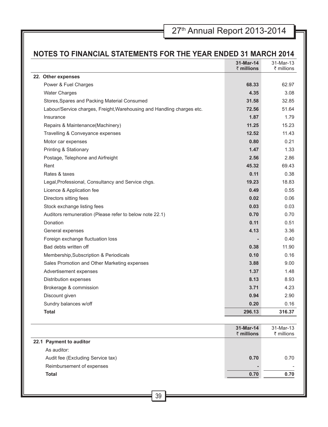27<sup>th</sup> Annual Report 2013-2014

|                                                                        | 31-Mar-14<br>₹ millions | 31-Mar-13<br>₹ millions |
|------------------------------------------------------------------------|-------------------------|-------------------------|
| 22. Other expenses                                                     |                         |                         |
| Power & Fuel Charges                                                   | 68.33                   | 62.97                   |
| <b>Water Charges</b>                                                   | 4.35                    | 3.08                    |
| Stores, Spares and Packing Material Consumed                           | 31.58                   | 32.85                   |
| Labour/Service charges, Freight, Warehousing and Handling charges etc. | 72.56                   | 51.64                   |
| Insurance                                                              | 1.87                    | 1.79                    |
| Repairs & Maintenance(Machinery)                                       | 11.25                   | 15.23                   |
| Travelling & Conveyance expenses                                       | 12.52                   | 11.43                   |
| Motor car expenses                                                     | 0.80                    | 0.21                    |
| Printing & Stationary                                                  | 1.47                    | 1.33                    |
| Postage, Telephone and Airfreight                                      | 2.56                    | 2.86                    |
| Rent                                                                   | 45.32                   | 69.43                   |
| Rates & taxes                                                          | 0.11                    | 0.38                    |
| Legal, Professional, Consultancy and Service chgs.                     | 19.23                   | 18.83                   |
| Licence & Application fee                                              | 0.49                    | 0.55                    |
| Directors sitting fees                                                 | 0.02                    | 0.06                    |
| Stock exchange listing fees                                            | 0.03                    | 0.03                    |
| Auditors remuneration (Please refer to below note 22.1)                | 0.70                    | 0.70                    |
| Donation                                                               | 0.11                    | 0.51                    |
| General expenses                                                       | 4.13                    | 3.36                    |
| Foreign exchange fluctuation loss                                      |                         | 0.40                    |
| Bad debts written off                                                  | 0.38                    | 11.90                   |
| Membership, Subscription & Periodicals                                 | 0.10                    | 0.16                    |
| Sales Promotion and Other Marketing expenses                           | 3.88                    | 9.00                    |
| Advertisement expenses                                                 | 1.37                    | 1.48                    |
| Distribution expenses                                                  | 8.13                    | 8.93                    |
| Brokerage & commission                                                 | 3.71                    | 4.23                    |
| Discount given                                                         | 0.94                    | 2.90                    |
| Sundry balances w/off                                                  | 0.20                    | 0.16                    |
| <b>Total</b>                                                           | 296.13                  | 316.37                  |
|                                                                        | 31-Mar-14<br>₹ millions | 31-Mar-13<br>₹ millions |
| 22.1 Payment to auditor                                                |                         |                         |
| As auditor:                                                            |                         |                         |
| Audit fee (Excluding Service tax)                                      | 0.70                    | 0.70                    |
| Reimbursement of expenses                                              |                         |                         |
| <b>Total</b>                                                           | 0.70                    | 0.70                    |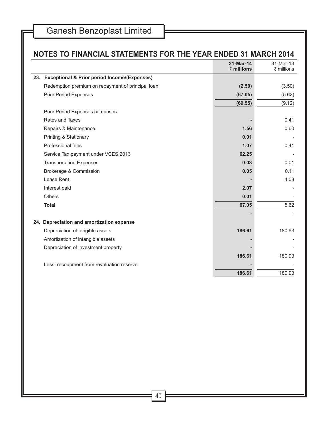Ganesh Benzoplast Limited

|                                                   | 31-Mar-14<br>₹ millions | 31-Mar-13<br>₹ millions |
|---------------------------------------------------|-------------------------|-------------------------|
| 23. Exceptional & Prior period Income/(Expenses)  |                         |                         |
| Redemption premium on repayment of principal loan | (2.50)                  | (3.50)                  |
| <b>Prior Period Expenses</b>                      | (67.05)                 | (5.62)                  |
|                                                   | (69.55)                 | (9.12)                  |
| Prior Period Expenses comprises                   |                         |                         |
| Rates and Taxes                                   |                         | 0.41                    |
| Repairs & Maintenance                             | 1.56                    | 0.60                    |
| Printing & Stationary                             | 0.01                    |                         |
| Professional fees                                 | 1.07                    | 0.41                    |
| Service Tax payment under VCES, 2013              | 62.25                   |                         |
| <b>Transportation Expenses</b>                    | 0.03                    | 0.01                    |
| Brokerage & Commission                            | 0.05                    | 0.11                    |
| Lease Rent                                        |                         | 4.08                    |
| Interest paid                                     | 2.07                    |                         |
| Others                                            | 0.01                    |                         |
| <b>Total</b>                                      | 67.05                   | 5.62                    |
|                                                   |                         |                         |
| 24. Depreciation and amortization expense         |                         |                         |
| Depreciation of tangible assets                   | 186.61                  | 180.93                  |
| Amortization of intangible assets                 |                         |                         |
| Depreciation of investment property               |                         |                         |
|                                                   | 186.61                  | 180.93                  |
| Less: recoupment from revaluation reserve         |                         |                         |
|                                                   | 186.61                  | 180.93                  |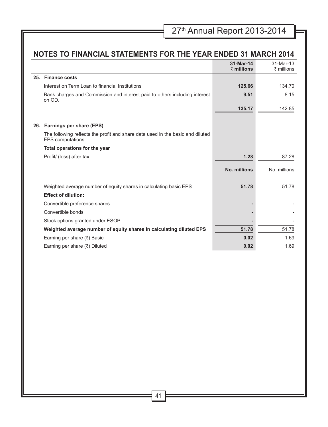|                                                                                                     | 31-Mar-14<br>$\bar{z}$ millions | 31-Mar-13<br>$\bar{\tau}$ millions |
|-----------------------------------------------------------------------------------------------------|---------------------------------|------------------------------------|
| <b>Finance costs</b><br>25.                                                                         |                                 |                                    |
| Interest on Term Loan to financial Institutions                                                     | 125.66                          | 134.70                             |
| Bank charges and Commission and interest paid to others including interest<br>on OD.                | 9.51                            | 8.15                               |
|                                                                                                     | 135.17                          | 142.85                             |
|                                                                                                     |                                 |                                    |
| 26. Earnings per share (EPS)                                                                        |                                 |                                    |
| The following reflects the profit and share data used in the basic and diluted<br>EPS computations: |                                 |                                    |
| Total operations for the year                                                                       |                                 |                                    |
| Profit/ (loss) after tax                                                                            | 1.28                            | 87.28                              |
|                                                                                                     | No. millions                    | No. millions                       |
| Weighted average number of equity shares in calculating basic EPS                                   | 51.78                           | 51.78                              |
| <b>Effect of dilution:</b>                                                                          |                                 |                                    |
| Convertible preference shares                                                                       |                                 |                                    |
| Convertible bonds                                                                                   |                                 |                                    |
| Stock options granted under ESOP                                                                    |                                 |                                    |
| Weighted average number of equity shares in calculating diluted EPS                                 | 51.78                           | 51.78                              |
| Earning per share $(3)$ Basic                                                                       | 0.02                            | 1.69                               |
| Earning per share $(\bar{x})$ Diluted                                                               | 0.02                            | 1.69                               |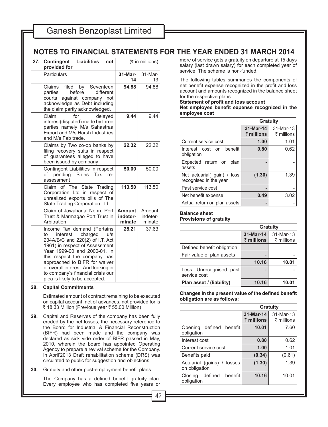| 27. | <b>Liabilities</b><br><b>Contingent</b><br>not<br>provided for                                                                                                                                                                                                                                                                                      |                                     | (₹ in millions)              |
|-----|-----------------------------------------------------------------------------------------------------------------------------------------------------------------------------------------------------------------------------------------------------------------------------------------------------------------------------------------------------|-------------------------------------|------------------------------|
|     | Particulars                                                                                                                                                                                                                                                                                                                                         | 31-Mar-<br>14                       | 31-Mar-<br>13                |
|     | Claims<br>filed by Seventeen<br>before<br>different<br>parties<br>courts<br>against company<br>not<br>acknowledge as Debt including<br>the claim partly acknowledged.                                                                                                                                                                               | 94.88                               | 94.88                        |
|     | Claim<br>for<br>delayed<br>interest(disputed) made by three<br>parties namely M/s Sahastraa<br>Export and M/s Harsh Industries<br>and M/s Fab trade.                                                                                                                                                                                                | 9.44                                | 9.44                         |
|     | Claims by Two co-op banks by<br>filing recovery suits in respect<br>of guarantees alleged to have<br>been issued by company                                                                                                                                                                                                                         | 22.32                               | 22.32                        |
|     | Contingent Liabilities in respect<br>pending Sales Tax<br>of<br>re-<br>assessment                                                                                                                                                                                                                                                                   | 50.00                               | 50.00                        |
|     | Claim of The State Trading<br>Corporation Ltd in respect of<br>unrealized exports bills of The<br><b>State Trading Corporation Ltd</b>                                                                                                                                                                                                              | 113.50                              | 113.50                       |
|     | Claim of Jawaharlal Nehru Port<br>Trust & Marmagao Port Trust in<br>Arbitration                                                                                                                                                                                                                                                                     | <b>Amount</b><br>indeter-<br>minate | Amount<br>indeter-<br>minate |
|     | Income Tax demand (Pertains<br>charged<br>interest<br>to<br>u/s<br>234A/B/C and 220(2) of I.T. Act<br>1961) in respect of Assessment<br>Year 1999-00 and 2000-01. In<br>this respect the company has<br>approached to BIFR for waiver<br>of overall interest. And looking in<br>to company's financial crisis our<br>plea is likely to be accepted. | 28.21                               | 37.63                        |

### **28. Capital Commitments**

Estimated amount of contract remaining to be executed on capital account, net of advances, not provided for is ₹ 18.33 Million (Previous year ₹ 55.00 Million)

- **29.** Capital and Reserves of the company has been fully eroded by the net losses, the necessary reference to the Board for Industrial & Financial Reconstruction (BIFR) had been made and the company was declared as sick vide order of BIFR passed in May, 2010, wherein the board has appointed Operating Agency to prepare a revival scheme for the Company. In April'2013 Draft rehabilitation scheme (DRS) was circulated to public for suggestion and objections.
- **30.** Gratuity and other post-employment benefit plans:

The Company has a defined benefit gratuity plan. Every employee who has completed five years or

more of service gets a gratuity on departure at 15 days salary (last drawn salary) for each completed year of service. The scheme is non-funded.

The following tables summaries the components of net benefit expense recognized in the profit and loss account and amounts recognized in the balance sheet for the respective plans.

### **Statement of profit and loss account**

**Net employee benefit expense recognized in the employee cost**

|                                                      | Gratuity                        |                                    |
|------------------------------------------------------|---------------------------------|------------------------------------|
|                                                      | 31-Mar-14<br>$\bar{z}$ millions | 31-Mar-13<br>$\bar{\tau}$ millions |
| Current service cost                                 | 1.00                            | 1.01                               |
| Interest cost on benefit<br>obligation               | 0.80                            | 0.62                               |
| Expected return on<br>plan<br>assets                 |                                 |                                    |
| Net actuarial(gain) / loss<br>recognised in the year | (1.30)                          | 1.39                               |
| Past service cost                                    |                                 |                                    |
| Net benefit expense                                  | 0.49                            | 3.02                               |
| Actual return on plan assets                         |                                 |                                    |

### **Balance sheet Provisions of gratuity**

|                                         | Gratuity                        |                         |  |
|-----------------------------------------|---------------------------------|-------------------------|--|
|                                         | 31-Mar-14<br>$\bar{z}$ millions | 31-Mar-13<br>₹ millions |  |
| Defined benefit obligation              |                                 |                         |  |
| Fair value of plan assets               |                                 |                         |  |
|                                         | 10.16                           | 10.01                   |  |
| Less: Unrecognised past<br>service cost |                                 |                         |  |
| Plan asset / (liability)                | 10.16                           | 10.01                   |  |

**Changes in the present value of the defined benefit obligation are as follows:**

|                                             | Gratuity                           |                         |
|---------------------------------------------|------------------------------------|-------------------------|
|                                             | 31-Mar-14<br>$\bar{\tau}$ millions | 31-Mar-13<br>₹ millions |
| Opening defined benefit<br>obligation       | 10.01                              | 7.60                    |
| Interest cost                               | 0.80                               | 0.62                    |
| Current service cost                        | 1.00                               | 1.01                    |
| Benefits paid                               | (0.34)                             | (0.61)                  |
| Actuarial (gains) / losses<br>on obligation | (1.30)                             | 1.39                    |
| benefit<br>defined<br>Closina<br>obligation | 10.16                              | 10.01                   |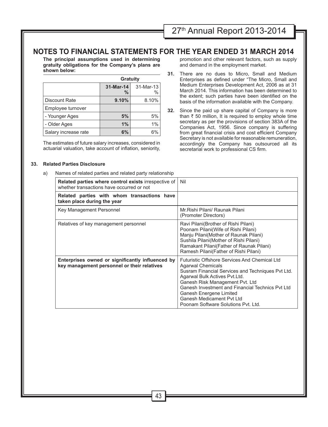**The principal assumptions used in determining gratuity obligations for the Company's plans are shown below:**

|                      | Gratuity       |                |
|----------------------|----------------|----------------|
|                      | 31-Mar-14<br>% | 31-Mar-13<br>% |
| Discount Rate        | 9.10%          | 8.10%          |
| Employee turnover    |                |                |
| - Younger Ages       | 5%             | 5%             |
| - Older Ages         | 1%             | 1%             |
| Salary increase rate | 6%             | 6%             |

The estimates of future salary increases, considered in actuarial valuation, take account of inflation, seniority,

### **33. Related Parties Disclosure**

a) Names of related parties and related party relationship

promotion and other relevant factors, such as supply and demand in the employment market.

- **31.** There are no dues to Micro, Small and Medium Enterprises as defined under "The Micro, Small and Medium Enterprises Development Act, 2006 as at 31 March 2014. This information has been determined to the extent; such parties have been identified on the basis of the information available with the Company.
- **32.** Since the paid up share capital of Company is more than  $\bar{\tau}$  50 million, It is required to employ whole time secretary as per the provisions of section 383A of the Companies Act, 1956. Since company is suffering from great financial crisis and cost efficient Company Secretary is not available for reasonable remuneration, accordingly the Company has outsourced all its secretarial work to professional CS firm.

| Related parties where control exists irrespective of<br>whether transactions have occurred or not | Nil                                                                                                                                                                                                                                                                                                                                            |
|---------------------------------------------------------------------------------------------------|------------------------------------------------------------------------------------------------------------------------------------------------------------------------------------------------------------------------------------------------------------------------------------------------------------------------------------------------|
| Related parties with whom transactions have<br>taken place during the year                        |                                                                                                                                                                                                                                                                                                                                                |
| Key Management Personnel                                                                          | Mr Rishi Pilani/ Raunak Pilani<br>(Promoter Directors)                                                                                                                                                                                                                                                                                         |
| Relatives of key management personnel                                                             | Ravi Pilani(Brother of Rishi Pilani)<br>Poonam Pilani (Wife of Rishi Pilani)<br>Manju Pilani (Mother of Raunak Pilani)<br>Sushila Pilani (Mother of Rishi Pilani)<br>Ramakant Pilani(Father of Raunak Pilani)<br>Ramesh Pilani(Father of Rishi Pilani)                                                                                         |
| Enterprises owned or significantly influenced by<br>key management personnel or their relatives   | Futuristic Offshore Services And Chemical Ltd<br>Agarwal Chemicals<br>Susram Financial Services and Techniques Pvt Ltd.<br>Agarwal Bulk Actives Pvt.Ltd.<br>Ganesh Risk Management Pvt. Ltd<br>Ganesh Investment and Financial Technics Pyt Ltd<br>Ganesh Energene Limited<br>Ganesh Medicament Pvt Ltd<br>Poonam Software Solutions Pyt. Ltd. |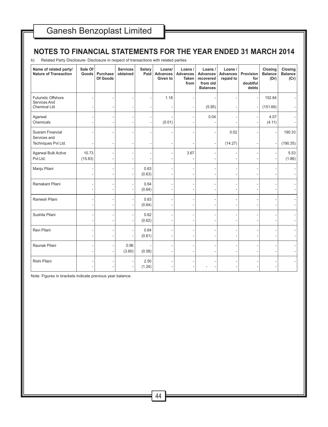b) Related Party Disclosure- Disclosure in respect of transactions with related parties

| Name of related party/<br><b>Nature of Transaction</b> | Sale Of<br>Goods | Purchase<br>Of Goods | <b>Services</b><br>obtained | Salary<br>Paid | Loans/<br><b>Advances</b><br>Given to | Loans /<br><b>Advances</b><br><b>Taken</b><br>from | Loans /<br><b>Advances</b><br>recovered<br>from old<br><b>Balances</b> | Loans /<br><b>Advances</b><br>repaid to | Provision<br>for<br>doubtful<br>debts | Closing<br><b>Balance</b><br>(Dr) | Closing<br><b>Balance</b><br>(Cr) |
|--------------------------------------------------------|------------------|----------------------|-----------------------------|----------------|---------------------------------------|----------------------------------------------------|------------------------------------------------------------------------|-----------------------------------------|---------------------------------------|-----------------------------------|-----------------------------------|
| Futuristic Offshore<br>Services And                    |                  |                      |                             |                | 1.18                                  |                                                    |                                                                        |                                         |                                       | 152.84                            |                                   |
| <b>Chemical Ltd</b>                                    |                  |                      |                             |                |                                       |                                                    | (5.95)                                                                 |                                         | $\overline{\phantom{a}}$              | (151.66)                          |                                   |
| Agarwal<br>Chemicals                                   |                  |                      |                             |                | (0.01)                                |                                                    | 0.04                                                                   |                                         |                                       | 4.07<br>(4.11)                    |                                   |
| <b>Susram Financial</b><br>Services and                |                  |                      |                             |                |                                       |                                                    |                                                                        | 0.02                                    |                                       |                                   | 190.33                            |
| Techniques Pvt Ltd.                                    |                  |                      |                             |                |                                       |                                                    |                                                                        | (14.27)                                 |                                       | Ĭ.                                | (190.35)                          |
| Agarwal Bulk Active<br>Pvt.Ltd.                        | 10.73<br>(15.83) |                      |                             |                |                                       | 3.67                                               |                                                                        |                                         |                                       |                                   | 5.53<br>(1.86)                    |
| Manju Pilani                                           |                  |                      |                             | 0.63<br>(0.63) |                                       |                                                    |                                                                        |                                         |                                       |                                   |                                   |
| Ramakant Pilani                                        |                  |                      |                             | 0.64<br>(0.64) |                                       |                                                    |                                                                        |                                         |                                       |                                   |                                   |
| Ramesh Pilani                                          |                  |                      |                             | 0.63<br>(0.64) |                                       |                                                    |                                                                        |                                         |                                       |                                   |                                   |
| Sushila Pilani                                         |                  |                      |                             | 0.62<br>(0.62) |                                       |                                                    |                                                                        |                                         |                                       |                                   |                                   |
| Ravi Pilani                                            |                  |                      |                             | 0.64<br>(0.61) |                                       |                                                    |                                                                        |                                         |                                       |                                   |                                   |
| Raunak Pilani                                          |                  |                      | 0.96<br>(3.60)              | (0.58)         |                                       |                                                    |                                                                        |                                         |                                       |                                   |                                   |
| Rishi Pilani                                           |                  |                      |                             | 2.50<br>(1.24) |                                       |                                                    |                                                                        |                                         |                                       |                                   |                                   |

Note: Figures in brackets indicate previous year balance.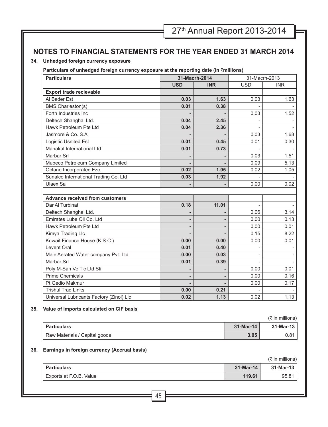### **34. Unhedged foreign currency exposure**

### **Particulars of unhedged foreign currency exposure at the reporting date (in** `**millions)**

| <b>Particulars</b>                       |            | 31-Macrh-2014 |            | 31-Macrh-2013 |
|------------------------------------------|------------|---------------|------------|---------------|
|                                          | <b>USD</b> | <b>INR</b>    | <b>USD</b> | <b>INR</b>    |
| <b>Export trade recievable</b>           |            |               |            |               |
| Al Bader Est                             | 0.03       | 1.63          | 0.03       | 1.63          |
| BMS Charleston(s)                        | 0.01       | 0.38          |            |               |
| Forth Industries Inc                     |            |               | 0.03       | 1.52          |
| Deltech Shanghai Ltd.                    | 0.04       | 2.45          |            |               |
| Hawk Petroleum Pte Ltd                   | 0.04       | 2.36          |            |               |
| Jasmore & Co. S.A.                       |            |               | 0.03       | 1.68          |
| Logistic Usnited Est                     | 0.01       | 0.45          | 0.01       | 0.30          |
| Mahakal International Ltd                | 0.01       | 0.73          |            |               |
| Marbar Srl                               |            |               | 0.03       | 1.51          |
| Mubeco Petroleum Company Limited         |            |               | 0.09       | 5.13          |
| Octane Incorporated Fzc.                 | 0.02       | 1.05          | 0.02       | 1.05          |
| Sunalco International Trading Co. Ltd    | 0.03       | 1.92          |            |               |
| Ulaex Sa                                 |            |               | 0.00       | 0.02          |
|                                          |            |               |            |               |
| <b>Advance received from customers</b>   |            |               |            |               |
| Dar Al Turbinat                          | 0.18       | 11.01         |            |               |
| Deltech Shanghai Ltd.                    |            |               | 0.06       | 3.14          |
| Emirates Lube Oil Co. Ltd                |            |               | 0.00       | 0.13          |
| Hawk Petroleum Pte Ltd                   |            |               | 0.00       | 0.01          |
| Kimya Trading Llc                        |            |               | 0.15       | 8.22          |
| Kuwait Finance House (K.S.C.)            | 0.00       | 0.00          | 0.00       | 0.01          |
| Levent Oral                              | 0.01       | 0.40          |            |               |
| Male Aerated Water company Pvt. Ltd      | 0.00       | 0.03          |            |               |
| Marbar Srl                               | 0.01       | 0.39          |            |               |
| Poly M-San Ve Tic Ltd Sti                |            |               | 0.00       | 0.01          |
| <b>Prime Chemicals</b>                   |            |               | 0.00       | 0.16          |
| Pt Gedio Makmur                          |            |               | 0.00       | 0.17          |
| <b>Trishul Trad Links</b>                | 0.00       | 0.21          |            |               |
| Universal Lubricants Factory (Zinol) Llc | 0.02       | 1.13          | 0.02       | 1.13          |

### **35. Value of imports calculated on CIF basis**

|                               |           | $(3\bar{z})$ in millions) |
|-------------------------------|-----------|---------------------------|
| ∣ Particulars                 | 31-Mar-14 | 31-Mar-13 l               |
| Raw Materials / Capital goods | 3.05      | 0.81                      |

### **36. Earnings in foreign currency (Accrual basis)**

|                         |           | $(5 \in \mathbb{N})$ in millions) |
|-------------------------|-----------|-----------------------------------|
| <b>Particulars</b>      | 31-Mar-14 | 31-Mar-13                         |
| Exports at F.O.B. Value | 119.61    | 95.81                             |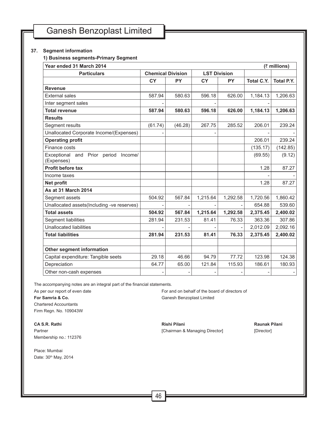### **37. Segment information**

### **1) Business segments-Primary Segment**

| Year ended 31 March 2014<br>(₹ millions)                 |                                                 |           |           |           |            |            |
|----------------------------------------------------------|-------------------------------------------------|-----------|-----------|-----------|------------|------------|
| <b>Particulars</b>                                       | <b>LST Division</b><br><b>Chemical Division</b> |           |           |           |            |            |
|                                                          | <b>CY</b>                                       | <b>PY</b> | <b>CY</b> | <b>PY</b> | Total C.Y. | Total P.Y. |
| <b>Revenue</b>                                           |                                                 |           |           |           |            |            |
| <b>External sales</b>                                    | 587.94                                          | 580.63    | 596.18    | 626.00    | 1,184.13   | 1,206.63   |
| Inter segment sales                                      |                                                 |           |           |           |            |            |
| <b>Total revenue</b>                                     | 587.94                                          | 580.63    | 596.18    | 626.00    | 1,184.13   | 1,206.63   |
| <b>Results</b>                                           |                                                 |           |           |           |            |            |
| Segment results                                          | (61.74)                                         | (46.28)   | 267.75    | 285.52    | 206.01     | 239.24     |
| Unallocated Corporate Income/(Expenses)                  |                                                 |           |           |           |            |            |
| <b>Operating profit</b>                                  |                                                 |           |           |           | 206.01     | 239.24     |
| Finance costs                                            |                                                 |           |           |           | (135.17)   | (142.85)   |
| Exceptional and<br>Prior period<br>Income/<br>(Expenses) |                                                 |           |           |           | (69.55)    | (9.12)     |
| Profit before tax                                        |                                                 |           |           |           | 1.28       | 87.27      |
| Income taxes                                             |                                                 |           |           |           |            |            |
| Net profit                                               |                                                 |           |           |           | 1.28       | 87.27      |
| As at 31 March 2014                                      |                                                 |           |           |           |            |            |
| Segment assets                                           | 504.92                                          | 567.84    | 1,215.64  | 1,292.58  | 1,720.56   | 1,860.42   |
| Unallocated assets (Including -ve reserves)              |                                                 |           |           |           | 654.88     | 539.60     |
| <b>Total assets</b>                                      | 504.92                                          | 567.84    | 1,215.64  | 1,292.58  | 2,375.45   | 2,400.02   |
| Segment liabilities                                      | 281.94                                          | 231.53    | 81.41     | 76.33     | 363.36     | 307.86     |
| Unallocated liabilities                                  |                                                 |           |           |           | 2,012.09   | 2,092.16   |
| <b>Total liabilities</b>                                 | 281.94                                          | 231.53    | 81.41     | 76.33     | 2,375.45   | 2,400.02   |
|                                                          |                                                 |           |           |           |            |            |
| Other segment information                                |                                                 |           |           |           |            |            |
| Capital expenditure: Tangible seets                      | 29.18                                           | 46.66     | 94.79     | 77.72     | 123.98     | 124.38     |
| Depreciation                                             | 64.77                                           | 65.00     | 121.84    | 115.93    | 186.61     | 180.93     |
| Other non-cash expenses                                  |                                                 |           |           |           |            |            |

The accompanying notes are an integral part of the financial statements.

Chartered Accountants Firm Regn. No. 109043W

Membership no.: 112376

Place: Mumbai Date: 30<sup>th</sup> May, 2014

As per our report of even date **For and on behalf of the board of directors of**  $\blacksquare$ For Samria & Co. **For Samria & Co.** Ganesh Benzoplast Limited

**CA S.R. Rathi Rishi Pilani Raunak Pilani** Partner **Example 2 Chairman & Managing Director** [Chairman & Managing Director] [Director]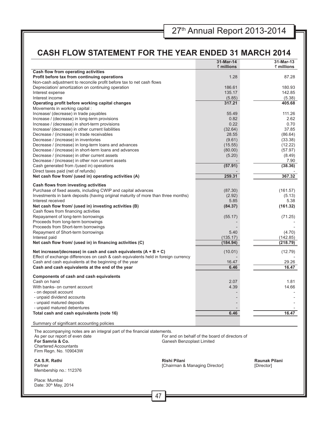# **CASH FLOW STATEMENT FOR THE YEAR ENDED 31 MARCH 2014**

|                                                                                                                            | 31-Mar-14<br>₹ millions                        | 31-Mar-13<br>₹ millions |
|----------------------------------------------------------------------------------------------------------------------------|------------------------------------------------|-------------------------|
| Cash flow from operating activities                                                                                        |                                                |                         |
| Profit before tax from continuing operations                                                                               | 1.28                                           | 87.28                   |
| Non-cash adjustment to reconcile profit before tax to net cash flows<br>Depreciation/ amortization on continuing operation | 186.61                                         | 180.93                  |
| Interest expense                                                                                                           | 135.17                                         | 142.85                  |
| Interest income                                                                                                            | (5.85)                                         | (5.38)                  |
| Operating profit before working capital changes                                                                            | 317.21                                         | 405.68                  |
| Movements in working capital:                                                                                              |                                                |                         |
| Increase/ (decrease) in trade payables                                                                                     | 55.49                                          | 111.26                  |
| Increase / (decrease) in long-term provisions                                                                              | 0.82                                           | 2.62                    |
| Increase / (decrease) in short-term provisions                                                                             | 0.22                                           | 0.70                    |
| Increase/ (decrease) in other current liabilities<br>Decrease / (increase) in trade receivables                            | (32.64)<br>28.55                               | 37.85<br>(86.64)        |
| Decrease / (increase) in inventories                                                                                       | (9.61)                                         | (33.38)                 |
| Decrease / (increase) in long-term loans and advances                                                                      | (15.55)                                        | (12.22)                 |
| Decrease / (increase) in short-term loans and advances                                                                     | (80.00)                                        | (57.97)                 |
| Decrease / (increase) in other current assets                                                                              | (5.20)                                         | (8.49)                  |
| Decrease / (increase) in other non current assets                                                                          |                                                | 7.90                    |
| Cash generated from /(used in) operations                                                                                  | (57.91)                                        | (38.36)                 |
| Direct taxes paid (net of refunds)                                                                                         |                                                |                         |
| Net cash flow from/ (used in) operating activities (A)                                                                     | 259.31                                         | 367.32                  |
| Cash flows from investing activities<br>Purchase of fixed assets, including CWIP and capital advances                      |                                                |                         |
| Investments in bank deposits (having original maturity of more than three months)                                          | (87.30)<br>(2.92)                              | (161.57)<br>(5.13)      |
| Interest received                                                                                                          | 5.85                                           | 5.38                    |
| Net cash flow from/ (used in) investing activities (B)                                                                     | (84.37)                                        | (161.32)                |
| Cash flows from financing activities                                                                                       |                                                |                         |
| Repayament of long-term borrowings                                                                                         | (55.17)                                        | (71.25)                 |
| Proceeds from long-term borrowings                                                                                         |                                                |                         |
| Proceeds from Short-term borrowings                                                                                        |                                                |                         |
| Repayment of Short-term borrowings                                                                                         | 5.40                                           | (4.70)                  |
| Interest paid                                                                                                              | (135.17)                                       | (142.85)                |
| Net cash flow from/ (used in) in financing activities (C)                                                                  | (184.94)                                       | (218.79)                |
| Net increase/(decrease) in cash and cash equivalents $(A + B + C)$                                                         | (10.01)                                        | (12.79)                 |
| Effect of exchange differences on cash & cash equivalents held in foreign currency                                         |                                                |                         |
| Cash and cash equivalents at the beginning of the year                                                                     | 16.47                                          | 29.26                   |
| Cash and cash equivalents at the end of the year                                                                           | 6.46                                           | 16.47                   |
| Components of cash and cash equivalents                                                                                    |                                                |                         |
| Cash on hand                                                                                                               | 2.07                                           | 1.81                    |
| With banks- on current account                                                                                             | 4.39                                           | 14.66                   |
| - on deposit account                                                                                                       |                                                |                         |
| - unpaid dividend accounts                                                                                                 |                                                |                         |
| - unpaid matured deposits<br>- unpaid matured debentures                                                                   |                                                |                         |
| Total cash and cash equivalents (note 16)                                                                                  | 6.46                                           | 16.47                   |
|                                                                                                                            |                                                |                         |
| Summary of significant accounting policies                                                                                 |                                                |                         |
| The accompanying notes are an integral part of the financial statements.                                                   |                                                |                         |
| As per our report of even date                                                                                             | For and on behalf of the board of directors of |                         |
| For Samria & Co.                                                                                                           | Ganesh Benzoplast Limited                      |                         |
| <b>Chartered Accountants</b><br>Firm Regn. No. 109043W                                                                     |                                                |                         |
|                                                                                                                            |                                                |                         |
| CA S.R. Rathi                                                                                                              | Rishi Pilani                                   | <b>Raunak Pilani</b>    |
| Partner                                                                                                                    | [Chairman & Managing Director]                 | [Director]              |
| Membership no.: 112376                                                                                                     |                                                |                         |
| Place: Mumbai                                                                                                              |                                                |                         |
| Date: 30th May, 2014                                                                                                       |                                                |                         |
|                                                                                                                            |                                                |                         |
| 47                                                                                                                         |                                                |                         |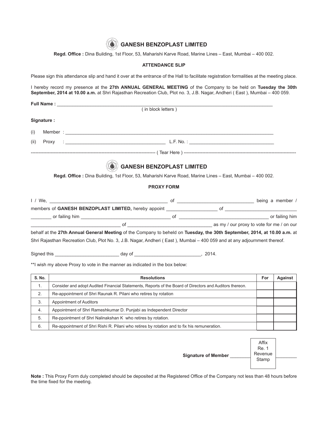**GANESH BENZOPLAST LIMITED** \$

**Regd. Office :** Dina Building, 1st Floor, 53, Maharishi Karve Road, Marine Lines – East, Mumbai – 400 002.

### **ATTENDANCE SLIP**

Please sign this attendance slip and hand it over at the entrance of the Hall to facilitate registration formalities at the meeting place.

I hereby record my presence at the **27th ANNUAL GENERAL MEETING** of the Company to be held on **Tuesday the 30th September, 2014 at 10.00 a.m.** at Shri Rajasthan Recreation Club, Plot no. 3, J.B. Nagar, Andheri ( East ), Mumbai – 400 059.

|            | Full Name: The contract of the contract of the contract of the contract of the contract of the contract of the            |  |  |
|------------|---------------------------------------------------------------------------------------------------------------------------|--|--|
|            | (in block letters)                                                                                                        |  |  |
| Signature: |                                                                                                                           |  |  |
| (i)        |                                                                                                                           |  |  |
| (ii)       |                                                                                                                           |  |  |
|            |                                                                                                                           |  |  |
|            | ⑤▒, GANESH BENZOPLAST LIMITED                                                                                             |  |  |
|            | Regd. Office: Dina Building, 1st Floor, 53, Maharishi Karve Road, Marine Lines - East, Mumbai - 400 002.                  |  |  |
|            | <b>PROXY FORM</b>                                                                                                         |  |  |
|            |                                                                                                                           |  |  |
|            |                                                                                                                           |  |  |
|            |                                                                                                                           |  |  |
|            |                                                                                                                           |  |  |
|            | behalf at the 27th Annual General Meeting of the Company to beheld on Tuesday, the 30th September, 2014, at 10.00 a.m. at |  |  |
|            | Shri Rajasthan Recreation Club, Plot No. 3, J.B. Nagar, Andheri (East), Mumbai - 400 059 and at any adjournment thereof.  |  |  |
|            |                                                                                                                           |  |  |
|            | **I wish my above Proxy to vote in the manner as indicated in the box below:                                              |  |  |

| S. No. | <b>Resolutions</b>                                                                                       | For | Against |
|--------|----------------------------------------------------------------------------------------------------------|-----|---------|
| 1.     | Consider and adopt Audited Financial Statements, Reports of the Board of Directors and Auditors thereon. |     |         |
| 2.     | Re-appointment of Shri Raunak R. Pilani who retires by rotation                                          |     |         |
| 3.     | Appointment of Auditors                                                                                  |     |         |
| 4.     | Appointment of Shri Rameshkumar D. Punjabi as Independent Director                                       |     |         |
| 5.     | Re-ppointment of Shri Nalinakshan K who retires by rotation.                                             |     |         |
| 6.     | Re-appointment of Shri Rishi R. Pilani who retires by rotation and to fix his remuneration.              |     |         |

| <b>Signature of Member</b> | Affix<br>Re. 1<br>Revenue |  |
|----------------------------|---------------------------|--|
|                            | Stamp                     |  |

**Note :** This Proxy Form duly completed should be deposited at the Registered Office of the Company not less than 48 hours before the time fixed for the meeting.